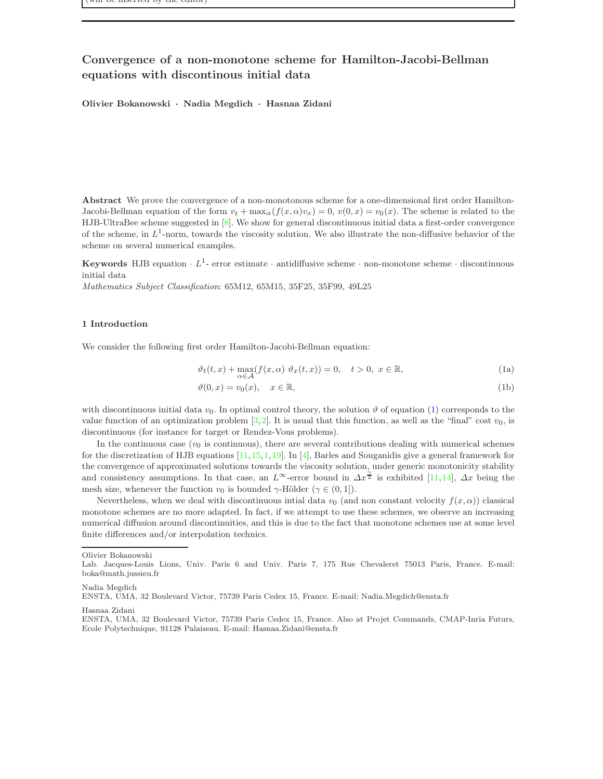# Convergence of a non-monotone scheme for Hamilton-Jacobi-Bellman equations with discontinous initial data

Olivier Bokanowski · Nadia Megdich · Hasnaa Zidani

Abstract We prove the convergence of a non-monotonous scheme for a one-dimensional first order Hamilton-Jacobi-Bellman equation of the form  $v_t + \max_{\alpha}(f(x, \alpha)v_x) = 0$ ,  $v(0, x) = v_0(x)$ . The scheme is related to the HJB-UltraBee scheme suggested in [\[8\]](#page-30-0). We show for general discontinuous initial data a first-order convergence of the scheme, in  $L^1$ -norm, towards the viscosity solution. We also illustrate the non-diffusive behavior of the scheme on several numerical examples.

Keywords HJB equation  $\cdot L^1$ - error estimate  $\cdot$  antidiffusive scheme  $\cdot$  non-monotone scheme  $\cdot$  discontinuous initial data

Mathematics Subject Classification: 65M12, 65M15, 35F25, 35F99, 49L25

### 1 Introduction

We consider the following first order Hamilton-Jacobi-Bellman equation:

<span id="page-0-0"></span>
$$
\vartheta_t(t,x) + \max_{\alpha \in \mathcal{A}} (f(x,\alpha) \vartheta_x(t,x)) = 0, \quad t > 0, \ x \in \mathbb{R}, \tag{1a}
$$

$$
\vartheta(0, x) = v_0(x), \quad x \in \mathbb{R},\tag{1b}
$$

with discontinuous initial data  $v_0$ . In optimal control theory, the solution  $\vartheta$  of equation [\(1\)](#page-0-0) corresponds to the value function of an optimization problem [\[3,](#page-30-1)[2\]](#page-30-2). It is usual that this function, as well as the "final" cost  $v_0$ , is discontinuous (for instance for target or Rendez-Vous problems).

In the continuous case  $(v_0)$  is continuous), there are several contributions dealing with numerical schemes for the discretization of HJB equations  $[11,15,1,19]$  $[11,15,1,19]$  $[11,15,1,19]$  $[11,15,1,19]$ . In  $[4]$ , Barles and Souganidis give a general framework for the convergence of approximated solutions towards the viscosity solution, under generic monotonicity stability and consistency assumptions. In that case, an  $L^{\infty}$ -error bound in  $\Delta x^{\frac{\gamma}{2}}$  is exhibited [\[11,](#page-30-3)[14\]](#page-31-2),  $\Delta x$  being the mesh size, whenever the function  $v_0$  is bounded  $\gamma$ -Hölder ( $\gamma \in (0, 1]$ ).

Nevertheless, when we deal with discontinuous intial data  $v_0$  (and non constant velocity  $f(x, \alpha)$ ) classical monotone schemes are no more adapted. In fact, if we attempt to use these schemes, we observe an increasing numerical diffusion around discontinuities, and this is due to the fact that monotone schemes use at some level finite differences and/or interpolation technics.

Olivier Bokanowski

Hasnaa Zidani

Lab. Jacques-Louis Lions, Univ. Paris 6 and Univ. Paris 7, 175 Rue Chevaleret 75013 Paris, France. E-mail: boka@math.jussieu.fr

Nadia Megdich

ENSTA, UMA, 32 Boulevard Victor, 75739 Paris Cedex 15, France. E-mail: Nadia.Megdich@ensta.fr

ENSTA, UMA, 32 Boulevard Victor, 75739 Paris Cedex 15, France. Also at Projet Commands, CMAP-Inria Futurs, Ecole Polytechnique, 91128 Palaiseau. E-mail: Hasnaa.Zidani@ensta.fr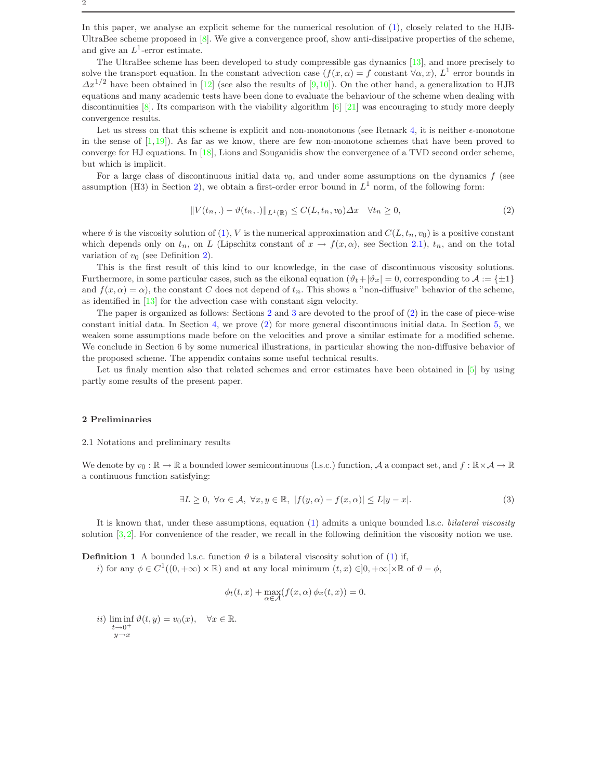2

In this paper, we analyse an explicit scheme for the numerical resolution of [\(1\)](#page-0-0), closely related to the HJB-UltraBee scheme proposed in  $[8]$ . We give a convergence proof, show anti-dissipative properties of the scheme, and give an  $L^1$ -error estimate.

The UltraBee scheme has been developed to study compressible gas dynamics [\[13\]](#page-31-3), and more precisely to solve the transport equation. In the constant advection case  $(f(x, \alpha) = f \text{ constant } \forall \alpha, x)$ ,  $L^1$  error bounds in  $\Delta x^{1/2}$  have been obtained in [\[12\]](#page-30-6) (see also the results of [\[9,](#page-30-7)[10\]](#page-30-8)). On the other hand, a generalization to HJB equations and many academic tests have been done to evaluate the behaviour of the scheme when dealing with discontinuities [\[8\]](#page-30-0). Its comparison with the viability algorithm [\[6\]](#page-30-9) [\[21\]](#page-31-4) was encouraging to study more deeply convergence results.

Let us stress on that this scheme is explicit and non-monotonous (see Remark [4,](#page-6-0) it is neither  $\epsilon$ -monotone in the sense of  $[1,19]$  $[1,19]$ . As far as we know, there are few non-monotone schemes that have been proved to converge for HJ equations. In [\[18\]](#page-31-5), Lions and Souganidis show the convergence of a TVD second order scheme, but which is implicit.

For a large class of discontinuous initial data  $v_0$ , and under some assumptions on the dynamics f (see assumption (H3) in Section [2\)](#page-1-0), we obtain a first-order error bound in  $L^1$  norm, of the following form:

<span id="page-1-2"></span>
$$
||V(t_n,.) - \vartheta(t_n,.)||_{L^1(\mathbb{R})} \le C(L, t_n, v_0) \Delta x \quad \forall t_n \ge 0,
$$
\n<sup>(2)</sup>

where  $\vartheta$  is the viscosity solution of [\(1\)](#page-0-0), V is the numerical approximation and  $C(L, t_n, v_0)$  is a positive constant which depends only on  $t_n$ , on L (Lipschitz constant of  $x \to f(x, \alpha)$ , see Section [2.1\)](#page-1-1),  $t_n$ , and on the total variation of  $v_0$  (see Definition [2\)](#page-4-0).

This is the first result of this kind to our knowledge, in the case of discontinuous viscosity solutions. Furthermore, in some particular cases, such as the eikonal equation  $(\vartheta_t + |\vartheta_x| = 0$ , corresponding to  $\mathcal{A} := \{\pm 1\}$ and  $f(x, \alpha) = \alpha$ , the constant C does not depend of  $t_n$ . This shows a "non-diffusive" behavior of the scheme, as identified in [\[13\]](#page-31-3) for the advection case with constant sign velocity.

The paper is organized as follows: Sections [2](#page-1-0) and [3](#page-8-0) are devoted to the proof of [\(2\)](#page-1-2) in the case of piece-wise constant initial data. In Section [4,](#page-13-0) we prove [\(2\)](#page-1-2) for more general discontinuous initial data. In Section [5,](#page-17-0) we weaken some assumptions made before on the velocities and prove a similar estimate for a modified scheme. We conclude in Section 6 by some numerical illustrations, in particular showing the non-diffusive behavior of the proposed scheme. The appendix contains some useful technical results.

Let us finaly mention also that related schemes and error estimates have been obtained in [\[5\]](#page-30-10) by using partly some results of the present paper.

#### <span id="page-1-1"></span><span id="page-1-0"></span>2 Preliminaries

### 2.1 Notations and preliminary results

We denote by  $v_0 : \mathbb{R} \to \mathbb{R}$  a bounded lower semicontinuous (l.s.c.) function, A a compact set, and  $f : \mathbb{R} \times A \to \mathbb{R}$ a continuous function satisfying:

<span id="page-1-3"></span>
$$
\exists L \ge 0, \ \forall \alpha \in \mathcal{A}, \ \forall x, y \in \mathbb{R}, \ |f(y, \alpha) - f(x, \alpha)| \le L|y - x|.
$$
 (3)

<span id="page-1-4"></span>It is known that, under these assumptions, equation [\(1\)](#page-0-0) admits a unique bounded l.s.c. bilateral viscosity solution  $[3,2]$  $[3,2]$ . For convenience of the reader, we recall in the following definition the viscosity notion we use.

**Definition 1** A bounded l.s.c. function  $\vartheta$  is a bilateral viscosity solution of [\(1\)](#page-0-0) if,

*i*) for any  $\phi \in C^1((0, +\infty) \times \mathbb{R})$  and at any local minimum  $(t, x) \in ]0, +\infty[ \times \mathbb{R}$  of  $\vartheta - \phi$ ,

$$
\phi_t(t,x) + \max_{\alpha \in \mathcal{A}} (f(x,\alpha) \phi_x(t,x)) = 0.
$$

ii)  $\liminf \vartheta(t, y) = v_0(x), \quad \forall x \in \mathbb{R}.$  $t\rightarrow 0^+$  $y \rightarrow x$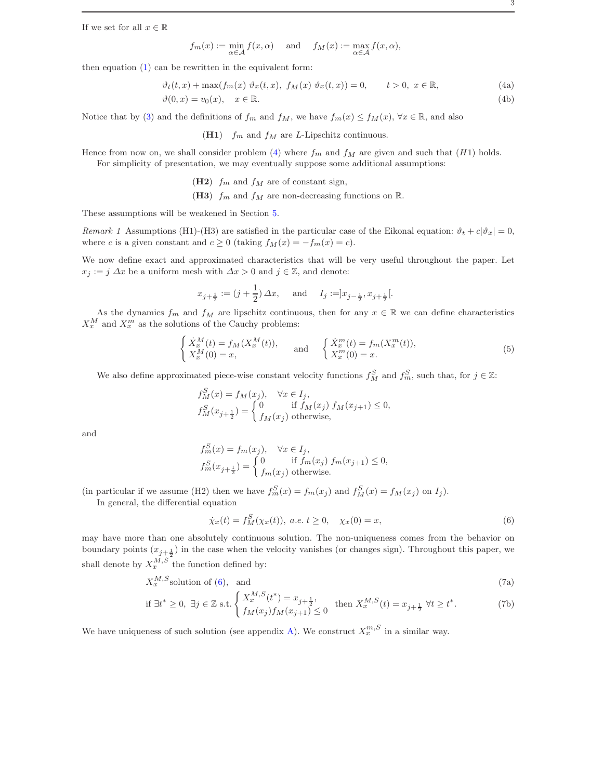If we set for all  $x \in \mathbb{R}$ 

<span id="page-2-0"></span>
$$
f_m(x) := \min_{\alpha \in \mathcal{A}} f(x, \alpha)
$$
 and  $f_M(x) := \max_{\alpha \in \mathcal{A}} f(x, \alpha)$ ,

then equation  $(1)$  can be rewritten in the equivalent form:

<span id="page-2-3"></span>
$$
\vartheta_t(t,x) + \max(f_m(x) \; \vartheta_x(t,x), \; f_M(x) \; \vartheta_x(t,x)) = 0, \qquad t > 0, \; x \in \mathbb{R}, \tag{4a}
$$

$$
\vartheta(0, x) = v_0(x), \quad x \in \mathbb{R}.\tag{4b}
$$

Notice that by [\(3\)](#page-1-3) and the definitions of  $f_m$  and  $f_M$ , we have  $f_m(x) \le f_M(x)$ ,  $\forall x \in \mathbb{R}$ , and also

(H1)  $f_m$  and  $f_M$  are L-Lipschitz continuous.

Hence from now on, we shall consider problem [\(4\)](#page-2-0) where  $f_m$  and  $f_M$  are given and such that (H1) holds. For simplicity of presentation, we may eventually suppose some additional assumptions:

(H2)  $f_m$  and  $f_M$  are of constant sign,

(H3)  $f_m$  and  $f_M$  are non-decreasing functions on R.

These assumptions will be weakened in Section [5.](#page-17-0)

Remark 1 Assumptions (H1)-(H3) are satisfied in the particular case of the Eikonal equation:  $\vartheta_t + c|\vartheta_x| = 0$ , where c is a given constant and  $c \ge 0$  (taking  $f_M(x) = -f_m(x) = c$ ).

We now define exact and approximated characteristics that will be very useful throughout the paper. Let  $x_j := j \Delta x$  be a uniform mesh with  $\Delta x > 0$  and  $j \in \mathbb{Z}$ , and denote:

$$
x_{j+\frac{1}{2}} := (j+\frac{1}{2}) \Delta x
$$
, and  $I_j := ]x_{j-\frac{1}{2}}, x_{j+\frac{1}{2}}[$ .

As the dynamics  $f_m$  and  $f_M$  are lipschitz continuous, then for any  $x \in \mathbb{R}$  we can define characteristics  $X_x^M$  and  $X_x^m$  as the solutions of the Cauchy problems:

$$
\begin{cases}\n\dot{X}_x^M(t) = f_M(X_x^M(t)),\\ X_x^M(0) = x,\n\end{cases}\n\text{ and }\n\begin{cases}\n\dot{X}_x^m(t) = f_m(X_x^m(t)),\\ X_x^m(0) = x.\n\end{cases}\n\tag{5}
$$

We also define approximated piece-wise constant velocity functions  $f_M^S$  and  $f_m^S$ , such that, for  $j \in \mathbb{Z}$ :

$$
f_M^S(x) = f_M(x_j), \quad \forall x \in I_j,
$$
  
\n
$$
f_M^S(x_{j+\frac{1}{2}}) = \begin{cases} 0 & \text{if } f_M(x_j) \ f_M(x_{j+1}) \le 0, \\ f_M(x_j) & \text{otherwise,} \end{cases}
$$

and

$$
f_m^S(x) = f_m(x_j), \quad \forall x \in I_j,
$$
  
\n
$$
f_m^S(x_{j+\frac{1}{2}}) = \begin{cases} 0 & \text{if } f_m(x_j) \ f_m(x_{j+1}) \le 0, \\ f_m(x_j) & \text{otherwise.} \end{cases}
$$

(in particular if we assume (H2) then we have  $f_m^S(x) = f_m(x_j)$  and  $f_M^S(x) = f_M(x_j)$  on  $I_j$ ).

In general, the differential equation

<span id="page-2-2"></span><span id="page-2-1"></span>
$$
\dot{\chi}_x(t) = f_M^S(\chi_x(t)), \ a.e. \ t \ge 0, \quad \chi_x(0) = x,\tag{6}
$$

may have more than one absolutely continuous solution. The non-uniqueness comes from the behavior on boundary points  $(x_{j+\frac{1}{2}})$  in the case when the velocity vanishes (or changes sign). Throughout this paper, we shall denote by  $X_x^{M,S}$  the function defined by:

$$
X_x^{M,S} \text{solution of (6), and} \tag{7a}
$$

if 
$$
\exists t^* \ge 0
$$
,  $\exists j \in \mathbb{Z}$  s.t. 
$$
\begin{cases} X_x^{M,S}(t^*) = x_{j+\frac{1}{2}}, \\ f_M(x_j) f_M(x_{j+1}) \le 0 \end{cases}
$$
 then  $X_x^{M,S}(t) = x_{j+\frac{1}{2}} \ \forall t \ge t^*$ . (7b)

We have uniqueness of such solution (see appendix [A\)](#page-26-0). We construct  $X_x^{m,S}$  in a similar way.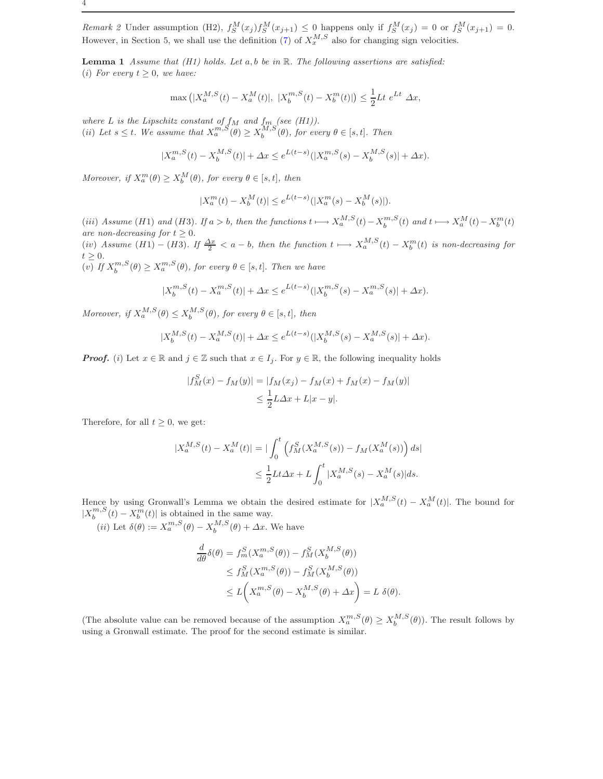Remark 2 Under assumption (H2),  $f_S^M(x_j) f_S^M(x_{j+1}) \leq 0$  happens only if  $f_S^M(x_j) = 0$  or  $f_S^M(x_{j+1}) = 0$ . However, in Section 5, we shall use the definition [\(7\)](#page-2-2) of  $X_x^{M,S}$  also for changing sign velocities.

<span id="page-3-0"></span>**Lemma 1** Assume that (H1) holds. Let  $a, b$  be in  $\mathbb{R}$ . The following assertions are satisfied: (i) For every  $t \geq 0$ , we have:

$$
\max\left(|X_a^{M,S}(t) - X_a^M(t)|, |X_b^{m,S}(t) - X_b^m(t)|\right) \le \frac{1}{2}Lt \ e^{Lt} \ \Delta x,
$$

where L is the Lipschitz constant of  $f_M$  and  $f_m$  (see (H1)). (ii) Let  $s \leq t$ . We assume that  $X_a^{m,S}(\theta) \geq X_b^{M,S}(\theta)$ , for every  $\theta \in [s, t]$ . Then

$$
|X_a^{m,S}(t) - X_b^{M,S}(t)| + \Delta x \le e^{L(t-s)} (|X_a^{m,S}(s) - X_b^{M,S}(s)| + \Delta x).
$$

Moreover, if  $X_a^m(\theta) \ge X_b^M(\theta)$ , for every  $\theta \in [s, t]$ , then

$$
|X_a^m(t) - X_b^M(t)| \le e^{L(t-s)} (|X_a^m(s) - X_b^M(s)|).
$$

(iii) Assume (H1) and (H3). If  $a > b$ , then the functions  $t \mapsto X_a^{M,S}(t) - X_b^{m,S}(t)$  and  $t \mapsto X_a^M(t) - X_b^m(t)$ are non-decreasing for  $t \geq 0$ .

(iv) Assume  $(H1) - (H3)$ . If  $\frac{\Delta x}{2} < a - b$ , then the function  $t \mapsto X_a^{M,S}(t) - X_b^m(t)$  is non-decreasing for  $t \geq 0$ .

(v) If  $X_b^{m,S}(\theta) \ge X_a^{m,S}(\theta)$ , for every  $\theta \in [s, t]$ . Then we have

$$
|X_b^{m,S}(t) - X_a^{m,S}(t)| + \Delta x \le e^{L(t-s)} (|X_b^{m,S}(s) - X_a^{m,S}(s)| + \Delta x).
$$

Moreover, if  $X_a^{M,S}(\theta) \le X_b^{M,S}(\theta)$ , for every  $\theta \in [s, t]$ , then

$$
|X_b^{M,S}(t) - X_a^{M,S}(t)| + \Delta x \le e^{L(t-s)} (|X_b^{M,S}(s) - X_a^{M,S}(s)| + \Delta x).
$$

**Proof.** (i) Let  $x \in \mathbb{R}$  and  $j \in \mathbb{Z}$  such that  $x \in I_j$ . For  $y \in \mathbb{R}$ , the following inequality holds

$$
|f_M^S(x) - f_M(y)| = |f_M(x_j) - f_M(x) + f_M(x) - f_M(y)|
$$
  

$$
\leq \frac{1}{2}L\Delta x + L|x - y|.
$$

Therefore, for all  $t \geq 0$ , we get:

$$
\begin{aligned} |X_a^{M,S}(t) - X_a^M(t)| &= | \int_0^t \left( f_M^S(X_a^{M,S}(s)) - f_M(X_a^M(s)) \right) ds | \\ &\le \frac{1}{2} L t \Delta x + L \int_0^t |X_a^{M,S}(s) - X_a^M(s)| ds. \end{aligned}
$$

Hence by using Gronwall's Lemma we obtain the desired estimate for  $|X_a^{M,S}(t) - X_a^M(t)|$ . The bound for  $|X_b^{m,S}(t) - X_b^m(t)|$  is obtained in the same way.

(*ii*) Let  $\delta(\theta) := X_a^{m,S}(\theta) - X_b^{M,S}(\theta) + \Delta x$ . We have

$$
\frac{d}{d\theta}\delta(\theta) = f_m^S(X_a^{m,S}(\theta)) - f_M^S(X_b^{M,S}(\theta))
$$
\n
$$
\leq f_M^S(X_a^{m,S}(\theta)) - f_M^S(X_b^{M,S}(\theta))
$$
\n
$$
\leq L\bigg(X_a^{m,S}(\theta) - X_b^{M,S}(\theta) + \Delta x\bigg) = L \delta(\theta).
$$

(The absolute value can be removed because of the assumption  $X_a^{m,S}(\theta) \ge X_b^{M,S}(\theta)$ ). The result follows by using a Gronwall estimate. The proof for the second estimate is similar.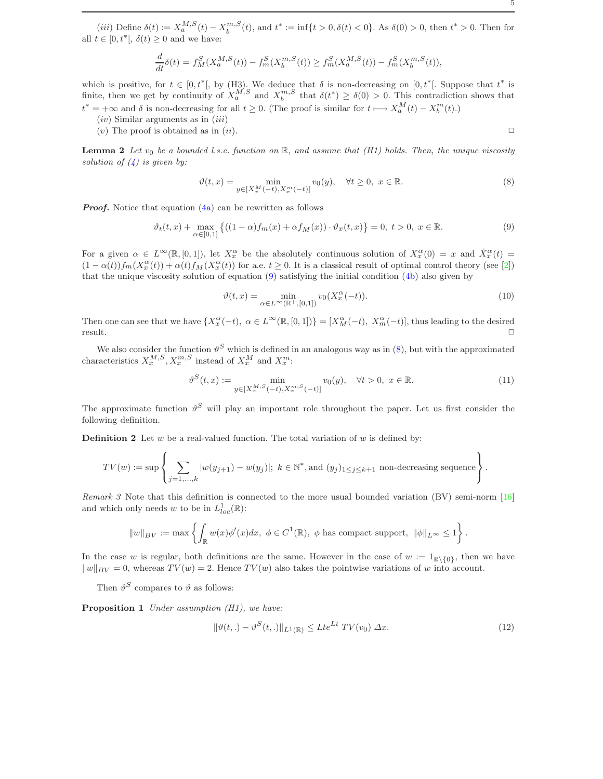(*iii*) Define  $\delta(t) := X_a^{M,S}(t) - X_b^{m,S}(t)$ , and  $t^* := \inf\{t > 0, \delta(t) < 0\}$ . As  $\delta(0) > 0$ , then  $t^* > 0$ . Then for all  $t \in [0, t^*], \delta(t) \geq 0$  and we have:

$$
\frac{d}{dt}\delta(t) = f_M^S(X_a^{M,S}(t)) - f_m^S(X_b^{m,S}(t)) \ge f_m^S(X_a^{M,S}(t)) - f_m^S(X_b^{m,S}(t)),
$$

which is positive, for  $t \in [0, t^*]$ , by (H3). We deduce that  $\delta$  is non-decreasing on  $[0, t^*]$ . Suppose that  $t^*$  is finite, then we get by continuity of  $X_a^{M,S}$  and  $X_b^{m,S}$  that  $\delta(t^*) \geq \delta(0) > 0$ . This contradiction shows that  $t^* = +\infty$  and  $\delta$  is non-decreasing for all  $t \geq 0$ . (The proof is similar for  $t \longmapsto X_a^M(t) - X_b^m(t)$ .)

 $(iv)$  Similar arguments as in  $(iii)$ 

<span id="page-4-3"></span>(v) The proof is obtained as in (ii).  $\Box$ 

**Lemma 2** Let  $v_0$  be a bounded l.s.c. function on R, and assume that (H1) holds. Then, the unique viscosity solution of  $(4)$  is given by:

<span id="page-4-2"></span>
$$
\vartheta(t,x) = \min_{y \in [X_x^M(-t), X_x^m(-t)]} v_0(y), \quad \forall t \ge 0, \ x \in \mathbb{R}.
$$
 (8)

**Proof.** Notice that equation [\(4a\)](#page-2-3) can be rewritten as follows

<span id="page-4-1"></span>
$$
\vartheta_t(t,x) + \max_{\alpha \in [0,1]} \left\{ ((1-\alpha)f_m(x) + \alpha f_M(x)) \cdot \vartheta_x(t,x) \right\} = 0, \ t > 0, \ x \in \mathbb{R}.
$$
 (9)

For a given  $\alpha \in L^{\infty}(\mathbb{R}, [0,1])$ , let  $X_x^{\alpha}$  be the absolutely continuous solution of  $X_x^{\alpha}(0) = x$  and  $\dot{X}_x^{\alpha}(t) =$  $(1 - \alpha(t)) f_m(X_x^{\alpha}(t)) + \alpha(t) f_M(X_x^{\alpha}(t))$  for a.e.  $t \geq 0$ . It is a classical result of optimal control theory (see [\[2\]](#page-30-2)) that the unique viscosity solution of equation [\(9\)](#page-4-1) satisfying the initial condition [\(4b\)](#page-2-3) also given by

$$
\vartheta(t,x) = \min_{\alpha \in L^{\infty}(\mathbb{R}^+, [0,1])} v_0(X_x^{\alpha}(-t)).
$$
\n(10)

Then one can see that we have  $\{X_x^{\alpha}(-t), \alpha \in L^{\infty}(\mathbb{R}, [0,1])\} = [X_M^{\alpha}(-t), X_m^{\alpha}(-t)]$ , thus leading to the desired  $r$ esult.  $\Box$ 

We also consider the function  $\vartheta^S$  which is defined in an analogous way as in [\(8\)](#page-4-2), but with the approximated characteristics  $X_x^{M,S}, X_x^{m,S}$  instead of  $X_x^M$  and  $X_x^m$ :

<span id="page-4-4"></span><span id="page-4-0"></span>
$$
\vartheta^{S}(t,x) := \min_{y \in [X_x^{M,S}(-t), X_x^{m,S}(-t)]} v_0(y), \quad \forall t > 0, \ x \in \mathbb{R}.
$$
\n(11)

The approximate function  $\vartheta^S$  will play an important role throughout the paper. Let us first consider the following definition.

**Definition 2** Let  $w$  be a real-valued function. The total variation of  $w$  is defined by:

$$
TV(w) := \sup \left\{ \sum_{j=1,\ldots,k} |w(y_{j+1}) - w(y_j)|; \ k \in \mathbb{N}^*, \text{and } (y_j)_{1 \leq j \leq k+1} \text{ non-decreasing sequence} \right\}.
$$

Remark 3 Note that this definition is connected to the more usual bounded variation (BV) semi-norm [\[16\]](#page-31-6) and which only needs w to be in  $L^1_{loc}(\mathbb{R})$ :

$$
||w||_{BV} := \max \left\{ \int_{\mathbb{R}} w(x) \phi'(x) dx, \ \phi \in C^1(\mathbb{R}), \ \phi \text{ has compact support, } ||\phi||_{L^{\infty}} \le 1 \right\}.
$$

In the case w is regular, both definitions are the same. However in the case of  $w := 1_{\mathbb{R}\setminus\{0\}}$ , then we have  $\|w\|_{BV} = 0$ , whereas  $TV(w) = 2$ . Hence  $TV(w)$  also takes the pointwise variations of w into account.

<span id="page-4-6"></span>Then  $\vartheta^S$  compares to  $\vartheta$  as follows:

Proposition 1 Under assumption (H1), we have:

<span id="page-4-5"></span>
$$
\|\vartheta(t,.) - \vartheta^S(t,.)\|_{L^1(\mathbb{R})} \leq Lte^{Lt} \, TV(v_0) \, \Delta x. \tag{12}
$$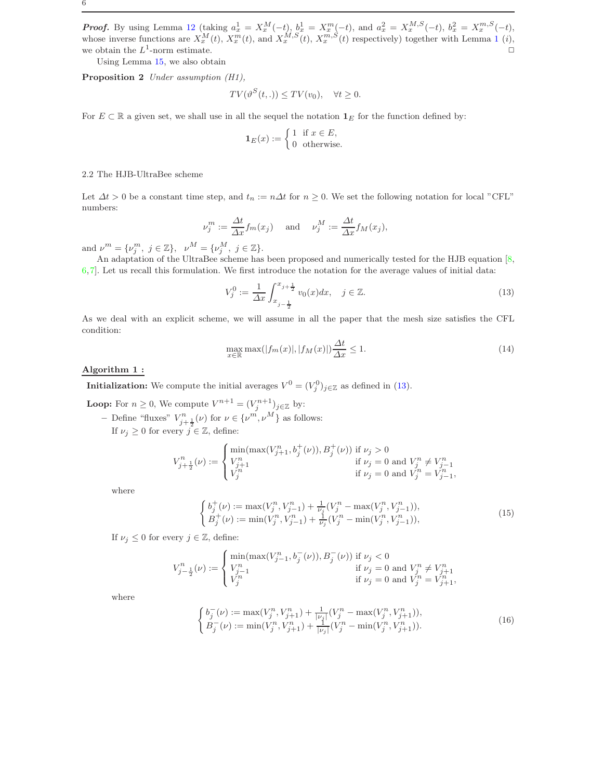**Proof.** By using Lemma [12](#page-28-0) (taking  $a_x^1 = X_x^M(-t)$ ,  $b_x^1 = X_x^m(-t)$ , and  $a_x^2 = X_x^{M,S}(-t)$ ,  $b_x^2 = X_x^{m,S}(-t)$ , whose inverse functions are  $X_x^M(t)$ ,  $X_x^m(t)$ , and  $X_x^{M,S}(t)$ ,  $X_x^{m,S}(t)$  respectively) together with Lemma [1](#page-3-0) (*i*), we obtain the  $L^1$ -norm estimate.  $\Box$ 

Using Lemma [15,](#page-29-0) we also obtain

Proposition 2 Under assumption (H1),

<span id="page-5-2"></span>
$$
TV(\vartheta^S(t,.)) \leq TV(v_0), \quad \forall t \geq 0.
$$

For  $E \subset \mathbb{R}$  a given set, we shall use in all the sequel the notation  $\mathbf{1}_E$  for the function defined by:

$$
\mathbf{1}_E(x) := \begin{cases} 1 & \text{if } x \in E, \\ 0 & \text{otherwise.} \end{cases}
$$

# 2.2 The HJB-UltraBee scheme

Let  $\Delta t > 0$  be a constant time step, and  $t_n := n\Delta t$  for  $n \geq 0$ . We set the following notation for local "CFL" numbers:

$$
\nu_j^m := \frac{\Delta t}{\Delta x} f_m(x_j) \quad \text{ and } \quad \nu_j^M := \frac{\Delta t}{\Delta x} f_M(x_j),
$$

and  $\nu^m = {\{\nu_j^m, j \in \mathbb{Z}\}, \ \nu^M = {\{\nu_j^M, j \in \mathbb{Z}\}}.$ 

An adaptation of the UltraBee scheme has been proposed and numerically tested for the HJB equation [\[8,](#page-30-0) [6,](#page-30-9)[7\]](#page-30-11). Let us recall this formulation. We first introduce the notation for the average values of initial data:

<span id="page-5-0"></span>
$$
V_j^0 := \frac{1}{\Delta x} \int_{x_{j-\frac{1}{2}}}^{x_{j+\frac{1}{2}}} v_0(x) dx, \quad j \in \mathbb{Z}.
$$
 (13)

As we deal with an explicit scheme, we will assume in all the paper that the mesh size satisfies the CFL condition:

<span id="page-5-1"></span>
$$
\max_{x \in \mathbb{R}} \max(|f_m(x)|, |f_M(x)|) \frac{\Delta t}{\Delta x} \le 1.
$$
\n(14)

### Algorithm 1 :

**Initialization:** We compute the initial averages  $V^0 = (V_j^0)_{j \in \mathbb{Z}}$  as defined in [\(13\)](#page-5-0).

**Loop:** For  $n \geq 0$ , We compute  $V^{n+1} = (V_j^{n+1})_{j \in \mathbb{Z}}$  by:

– Define "fluxes"  $V_{j+\frac{1}{2}}^{n}(\nu)$  for  $\nu \in {\{\nu^{m}, \nu^{M}\}}$  as follows: If  $\nu_j \geq 0$  for every  $j \in \mathbb{Z}$ , define:

$$
V^n_{j+\frac{1}{2}}(\nu):=\begin{cases}\min(\max(V^n_{j+1},b^+_j(\nu)),B^+_j(\nu))\text{ if }\nu_j>0\\ V^n_{j+1} & \text{if }\nu_j=0\text{ and }V^n_j\neq V^n_{j-1}\\ V^n_j & \text{if }\nu_j=0\text{ and }V^n_j=V^n_{j-1}\end{cases}
$$

where

<span id="page-5-3"></span>
$$
\begin{cases}\nb_j^+(v) := \max(V_j^n, V_{j-1}^n) + \frac{1}{\nu_j}(V_j^n - \max(V_j^n, V_{j-1}^n)), \\
B_j^+(v) := \min(V_j^n, V_{j-1}^n) + \frac{1}{\nu_j}(V_j^n - \min(V_j^n, V_{j-1}^n)),\n\end{cases} \tag{15}
$$

,

If  $\nu_j \leq 0$  for every  $j \in \mathbb{Z}$ , define:

$$
V_{j-\frac{1}{2}}^n(\nu) := \begin{cases} \min(\max(V_{j-1}^n, b_j^-(\nu)), B_j^-(\nu)) \text{ if } \nu_j < 0 \\ V_{j-1}^n & \text{ if } \nu_j = 0 \text{ and } V_j^n \neq V_{j+1}^n \\ V_j^n & \text{ if } \nu_j = 0 \text{ and } V_j^n = V_{j+1}^n, \end{cases}
$$

where

<span id="page-5-4"></span>
$$
\begin{cases}\nb_j^-(\nu) := \max(V_j^n, V_{j+1}^n) + \frac{1}{|\nu_j|}(V_j^n - \max(V_j^n, V_{j+1}^n)), \\
B_j^-(\nu) := \min(V_j^n, V_{j+1}^n) + \frac{1}{|\nu_j|}(V_j^n - \min(V_j^n, V_{j+1}^n)).\n\end{cases} \tag{16}
$$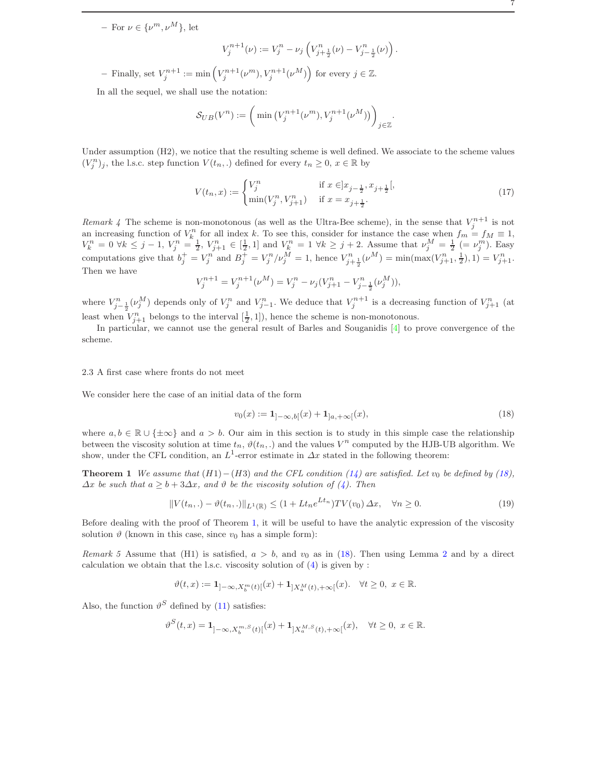$-$  For  $\nu \in {\{\nu^m,\nu^M\}}$ , let

$$
V_j^{n+1}(\nu) := V_j^n - \nu_j \left( V_{j+\frac{1}{2}}^n(\nu) - V_{j-\frac{1}{2}}^n(\nu) \right).
$$

- Finally, set  $V_j^{n+1} := \min\left(V_j^{n+1}(\nu^m), V_j^{n+1}(\nu^M)\right)$  for every  $j \in \mathbb{Z}$ .

In all the sequel, we shall use the notation:

$$
\mathcal{S}_{UB}(V^n) := \left(\min\left(V_j^{n+1}(\nu^m), V_j^{n+1}(\nu^M)\right)\right)_{j \in \mathbb{Z}}.
$$

Under assumption (H2), we notice that the resulting scheme is well defined. We associate to the scheme values  $(V_j^n)_j$ , the l.s.c. step function  $V(t_n,.)$  defined for every  $t_n \geq 0, x \in \mathbb{R}$  by

<span id="page-6-4"></span>
$$
V(t_n, x) := \begin{cases} V_j^n & \text{if } x \in ]x_{j-\frac{1}{2}}, x_{j+\frac{1}{2}}[,\\ \min(V_j^n, V_{j+1}^n) & \text{if } x = x_{j+\frac{1}{2}}. \end{cases}
$$
(17)

<span id="page-6-0"></span>Remark 4 The scheme is non-monotonous (as well as the Ultra-Bee scheme), in the sense that  $V_i^{n+1}$  is not the strate of  $V_h^n$  for all index k. To see this, consider for instance the case when  $f_m = f_M \equiv 1$ , an increasing function of  $V_h^n$  for all index k. To see this, consider for instance the case when  $f_m = f_M \equiv 1$ ,  $V_k^n = 0 \ \forall k \leq j-1, \ V_j^n = \frac{1}{2}, \ V_{j+1}^n \in [\frac{1}{2}, 1] \text{ and } V_k^n = 1 \ \forall k \geq j+2.$  Assume that  $\nu_j^M = \frac{1}{2} \ (= \nu_j^m)$ . Easy computations give that  $b_j^+ = V_j^n$  and  $B_j^+ = V_j^n / \nu_j^M = 1$ , hence  $V_{j+\frac{1}{2}}^n(\nu^M) = \min(\max(V_{j+1}^n, \frac{1}{2}), 1) = V_{j+1}^n$ . Then we have

$$
V_j^{n+1} = V_j^{n+1}(\nu^M) = V_j^n - \nu_j (V_{j+1}^n - V_{j-\frac{1}{2}}^n (\nu_j^M)),
$$

where  $V_{j-\frac{1}{2}}^n(\nu_j^M)$  depends only of  $V_j^n$  and  $V_{j-1}^n$ . We deduce that  $V_j^{n+1}$  is a decreasing function of  $V_{j+1}^n$  (at least when  $V_{j+1}^n$  belongs to the interval  $[\frac{1}{2}, 1]$ ), hence the scheme is non-monotonous.

In particular, we cannot use the general result of Barles and Souganidis [\[4\]](#page-30-5) to prove convergence of the scheme.

### <span id="page-6-5"></span>2.3 A first case where fronts do not meet

We consider here the case of an initial data of the form

<span id="page-6-2"></span><span id="page-6-1"></span>
$$
v_0(x) := \mathbf{1}_{]-\infty, b[}(x) + \mathbf{1}_{]a, +\infty[}(x),\tag{18}
$$

where  $a, b \in \mathbb{R} \cup \{\pm \infty\}$  and  $a > b$ . Our aim in this section is to study in this simple case the relationship between the viscosity solution at time  $t_n$ ,  $\vartheta(t_n,.)$  and the values  $V^n$  computed by the HJB-UB algorithm. We show, under the CFL condition, an  $L^1$ -error estimate in  $\Delta x$  stated in the following theorem:

**Theorem 1** We assume that  $(H1) - (H3)$  and the CFL condition [\(14\)](#page-5-1) are satisfied. Let  $v_0$  be defined by [\(18\)](#page-6-1),  $\Delta x$  be such that  $a \geq b + 3\Delta x$ , and  $\vartheta$  be the viscosity solution of [\(4\)](#page-2-0). Then

<span id="page-6-3"></span>
$$
||V(t_n,.) - \vartheta(t_n,.)||_{L^1(\mathbb{R})} \le (1 + L t_n e^{Lt_n})TV(v_0) \Delta x, \quad \forall n \ge 0.
$$
 (19)

Before dealing with the proof of Theorem [1,](#page-6-2) it will be useful to have the analytic expression of the viscosity solution  $\vartheta$  (known in this case, since  $v_0$  has a simple form):

Remark 5 Assume that (H1) is satisfied,  $a > b$ , and  $v_0$  as in [\(18\)](#page-6-1). Then using Lemma [2](#page-4-3) and by a direct calculation we obtain that the l.s.c. viscosity solution of [\(4\)](#page-2-0) is given by :

$$
\vartheta(t,x):=\mathbf{1}_{]-\infty,X_{b}^{m}(t)[}(x)+\mathbf{1}_{]X_{a}^{M}(t),+\infty[}(x).\quad\forall t\geq0,\ x\in\mathbb{R}.
$$

Also, the function  $\vartheta^S$  defined by [\(11\)](#page-4-4) satisfies:

$$
\vartheta^{S}(t,x) = \mathbf{1}_{]-\infty, X_{b}^{m,S}(t)[}(x) + \mathbf{1}_{]X_{a}^{M,S}(t), +\infty[}(x), \quad \forall t \ge 0, \ x \in \mathbb{R}.
$$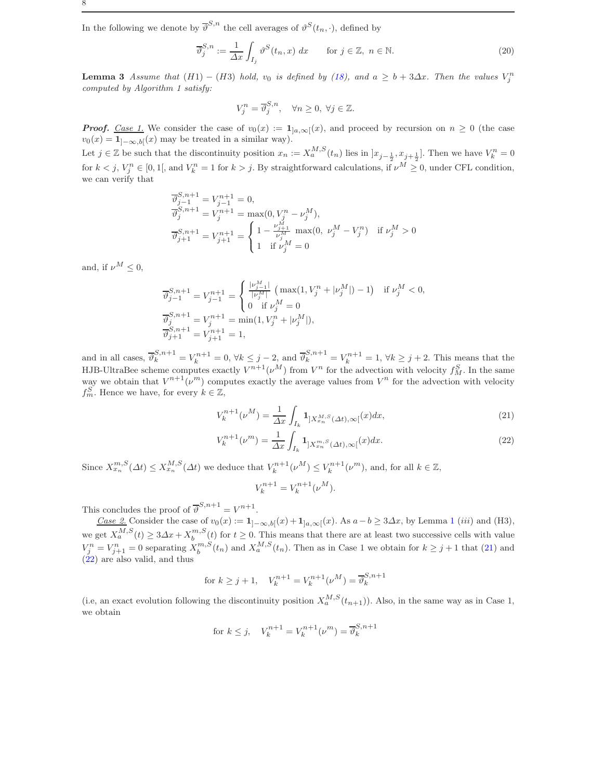In the following we denote by  $\overline{\vartheta}^{S,n}$  the cell averages of  $\vartheta^S(t_n, \cdot)$ , defined by

<span id="page-7-2"></span>
$$
\overline{\vartheta}_{j}^{S,n} := \frac{1}{\Delta x} \int_{I_{j}} \vartheta^{S}(t_{n}, x) dx \quad \text{for } j \in \mathbb{Z}, n \in \mathbb{N}.
$$
\n(20)

<span id="page-7-1"></span>**Lemma 3** Assume that  $(H1) - (H3)$  hold,  $v_0$  is defined by [\(18\)](#page-6-1), and  $a \geq b + 3\Delta x$ . Then the values  $V_j^n$ computed by Algorithm 1 satisfy:

$$
V_j^n = \overline{\vartheta}_j^{S,n}, \quad \forall n \ge 0, \ \forall j \in \mathbb{Z}.
$$

**Proof.** Case 1. We consider the case of  $v_0(x) := \mathbf{1}_{]a,\infty[}(x)$ , and proceed by recursion on  $n \geq 0$  (the case  $v_0(x) = \mathbf{1}_{]-\infty,b[}(x)$  may be treated in a similar way).

Let  $j \in \mathbb{Z}$  be such that the discontinuity position  $x_n := X_a^{M,S}(t_n)$  lies in  $]x_{j-\frac{1}{2}}, x_{j+\frac{1}{2}}]$ . Then we have  $V_k^n = 0$ for  $k < j$ ,  $V_j^n \in [0,1[$ , and  $V_k^n = 1$  for  $k > j$ . By straightforward calculations, if  $\nu^M \geq 0$ , under CFL condition, we can verify that

$$
\begin{aligned}\n\overline{\vartheta}_{j-1}^{S,n+1} &= V_{j-1}^{n+1} = 0, \\
\overline{\vartheta}_{j}^{S,n+1} &= V_{j}^{n+1} = \max(0, V_{j}^{n} - \nu_{j}^{M}), \\
\overline{\vartheta}_{j+1}^{S,n+1} &= V_{j+1}^{n+1} = \begin{cases}\n1 - \frac{\nu_{j+1}^{M}}{\nu_{j}^{M}} \max(0, \ \nu_{j}^{M} - V_{j}^{n}) & \text{if } \nu_{j}^{M} > 0 \\
1 & \text{if } \nu_{j}^{M} = 0\n\end{cases}\n\end{aligned}
$$

and, if  $\nu^M < 0$ ,

$$
\begin{array}{l} \overline{\vartheta}_{j-1}^{S,n+1} = V_{j-1}^{n+1} = \left\{ \begin{array}{l} \frac{|\nu_{j-1}^M|}{|\nu_{j}^M|} \left( \, \max(1, V_j^n + |\nu_{j}^M|) - 1 \right) & \text{if} \ \nu_{j}^M < 0, \\ 0 & \text{if} \ \nu_{j}^M = 0 \end{array} \right. \\ \overline{\vartheta}_{j}^{S,n+1} = V_j^{n+1} = \min(1, V_j^n + |\nu_{j}^M|), \\ \overline{\vartheta}_{j+1}^{S,n+1} = V_{j+1}^{n+1} = 1, \end{array}
$$

and in all cases,  $\overline{\vartheta}_k^{S,n+1} = V_k^{n+1} = 0$ ,  $\forall k \leq j-2$ , and  $\overline{\vartheta}_k^{S,n+1} = V_k^{n+1} = 1$ ,  $\forall k \geq j+2$ . This means that the HJB-UltraBee scheme computes exactly  $V^{n+1}(\nu^M)$  from  $V^n$  for the advection with velocity  $f_M^S$ . In the same way we obtain that  $V^{n+1}(\nu^m)$  computes exactly the average values from  $V^n$  for the advection with velocity  $f_m^S$ . Hence we have, for every  $k \in \mathbb{Z}$ ,

<span id="page-7-0"></span>
$$
V_k^{n+1}(\nu^M) = \frac{1}{\Delta x} \int_{I_k} \mathbf{1}_{]X_{x_n}^{M,S}(\Delta t), \infty[}(x)dx,
$$
\n(21)

$$
V_k^{n+1}(\nu^m) = \frac{1}{\Delta x} \int_{I_k} \mathbf{1}_{]X_{x_n}^{m,S}(\Delta t), \infty[}(x)dx. \tag{22}
$$

Since  $X_{x_n}^{m,S}(\Delta t) \le X_{x_n}^{M,S}(\Delta t)$  we deduce that  $V_k^{n+1}(\nu^M) \le V_k^{n+1}(\nu^m)$ , and, for all  $k \in \mathbb{Z}$ ,

$$
V_k^{n+1} = V_k^{n+1}(\nu^M).
$$

This concludes the proof of  $\overline{\vartheta}^{S,n+1} = V^{n+1}$ .

Case 2. Consider the case of  $v_0(x) := 1_{]-\infty, b[}(x) + 1_{]a,\infty[}(x)$  $v_0(x) := 1_{]-\infty, b[}(x) + 1_{]a,\infty[}(x)$  $v_0(x) := 1_{]-\infty, b[}(x) + 1_{]a,\infty[}(x)$ . As  $a - b \ge 3\Delta x$ , by Lemma 1 *(iii)* and (H3), we get  $X_a^{M,S}(t) \geq 3\Delta x + X_b^{m,S}(t)$  for  $t \geq 0$ . This means that there are at least two successive cells with value  $V_j^n = V_{j+1}^n = 0$  separating  $X_b^{m,S}(t_n)$  and  $X_a^{M,S}(t_n)$ . Then as in Case 1 we obtain for  $k \ge j+1$  that [\(21\)](#page-7-0) and  $(22)$  are also valid, and thus

for 
$$
k \ge j+1
$$
,  $V_k^{n+1} = V_k^{n+1}(\nu^M) = \overline{\vartheta}_k^{S,n+1}$ 

(i.e, an exact evolution following the discontinuity position  $X_a^{M,S}(t_{n+1})$ ). Also, in the same way as in Case 1, we obtain

for 
$$
k \leq j
$$
,  $V_k^{n+1} = V_k^{n+1}(\nu^m) = \overline{\vartheta}_k^{S,n+1}$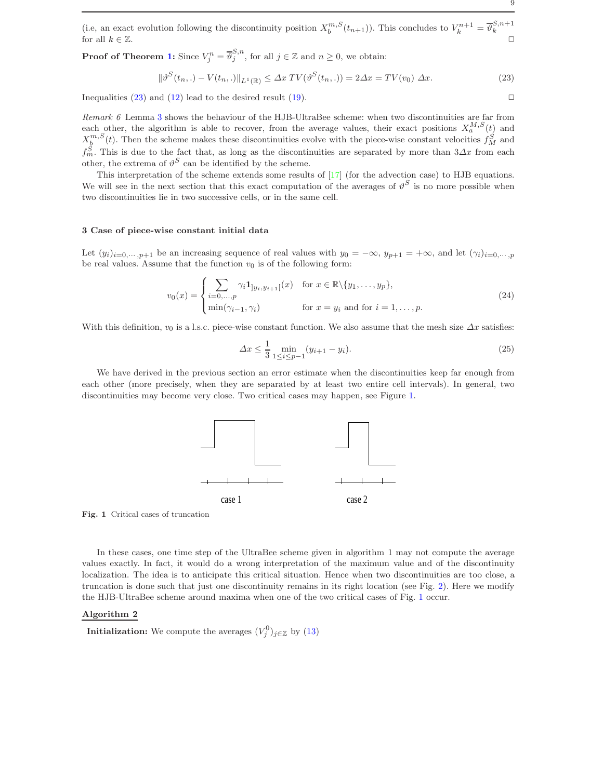(i.e, an exact evolution following the discontinuity position  $X_b^{m,S}(t_{n+1})$ ). This concludes to  $V_k^{n+1} = \overline{\vartheta}_k^{S,n+1}$ for all  $k \in \mathbb{Z}$ .

**Proof of Theorem [1:](#page-6-2)** Since  $V_j^n = \overline{\vartheta}_j^{S,n}$ , for all  $j \in \mathbb{Z}$  and  $n \geq 0$ , we obtain:

<span id="page-8-1"></span>
$$
\|\vartheta^{S}(t_{n},.) - V(t_{n},.)\|_{L^{1}(\mathbb{R})} \leq \Delta x \, TV(\vartheta^{S}(t_{n},.)) = 2\Delta x = TV(v_{0}) \, \Delta x. \tag{23}
$$

Inequalities [\(23\)](#page-8-1) and [\(12\)](#page-4-5) lead to the desired result [\(19\)](#page-6-3).  $\Box$ 

Remark 6 Lemma [3](#page-7-1) shows the behaviour of the HJB-UltraBee scheme: when two discontinuities are far from each other, the algorithm is able to recover, from the average values, their exact positions  $X_a^{M,S}(t)$  and  $X_{\underline{b}}^{m,S}(t)$ . Then the scheme makes these discontinuities evolve with the piece-wise constant velocities  $f_M^S$  and  $f_m^S$ . This is due to the fact that, as long as the discontinuities are separated by more than  $3\Delta x$  from each other, the extrema of  $\vartheta^{S}$  can be identified by the scheme.

This interpretation of the scheme extends some results of [\[17\]](#page-31-7) (for the advection case) to HJB equations. We will see in the next section that this exact computation of the averages of  $\vartheta^S$  is no more possible when two discontinuities lie in two successive cells, or in the same cell.

### <span id="page-8-0"></span>3 Case of piece-wise constant initial data

Let  $(y_i)_{i=0,\dots,p+1}$  be an increasing sequence of real values with  $y_0 = -\infty$ ,  $y_{p+1} = +\infty$ , and let  $(\gamma_i)_{i=0,\dots,p}$ be real values. Assume that the function  $v_0$  is of the following form:

<span id="page-8-3"></span>
$$
v_0(x) = \begin{cases} \sum_{i=0,\dots,p} \gamma_i 1_{]y_i, y_{i+1}}[(x) & \text{for } x \in \mathbb{R} \setminus \{y_1, \dots, y_p\}, \\ \min(\gamma_{i-1}, \gamma_i) & \text{for } x = y_i \text{ and for } i = 1,\dots, p. \end{cases}
$$
(24)

With this definition,  $v_0$  is a l.s.c. piece-wise constant function. We also assume that the mesh size  $\Delta x$  satisfies:

<span id="page-8-4"></span>
$$
\Delta x \le \frac{1}{3} \min_{1 \le i \le p-1} (y_{i+1} - y_i). \tag{25}
$$

We have derived in the previous section an error estimate when the discontinuities keep far enough from each other (more precisely, when they are separated by at least two entire cell intervals). In general, two discontinuities may become very close. Two critical cases may happen, see Figure [1.](#page-8-2)



<span id="page-8-2"></span>Fig. 1 Critical cases of truncation

In these cases, one time step of the UltraBee scheme given in algorithm 1 may not compute the average values exactly. In fact, it would do a wrong interpretation of the maximum value and of the discontinuity localization. The idea is to anticipate this critical situation. Hence when two discontinuities are too close, a truncation is done such that just one discontinuity remains in its right location (see Fig. [2\)](#page-10-0). Here we modify the HJB-UltraBee scheme around maxima when one of the two critical cases of Fig. [1](#page-8-2) occur.

# Algorithm 2

**Initialization:** We compute the averages  $(V_j^0)_{j \in \mathbb{Z}}$  by [\(13\)](#page-5-0)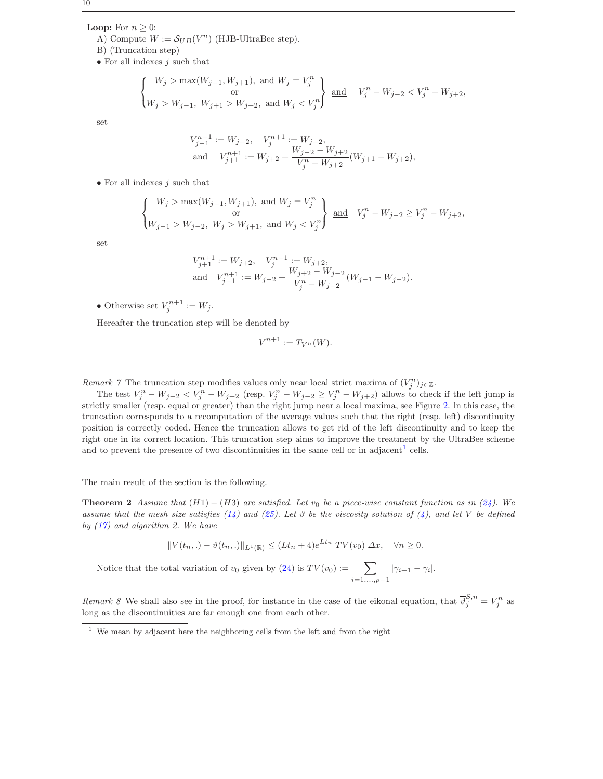**Loop:** For  $n \geq 0$ :

- A) Compute  $W := \mathcal{S}_{UB}(V^n)$  (HJB-UltraBee step).
- B) (Truncation step)
- $\bullet$  For all indexes *i* such that

$$
\begin{Bmatrix} W_j > \max(W_{j-1}, W_{j+1}), \text{ and } W_j = V_j^n \\ \text{or} \\ W_j > W_{j-1}, W_{j+1} > W_{j+2}, \text{ and } W_j < V_j^n \end{Bmatrix} \text{ and } V_j^n - W_{j-2} < V_j^n - W_{j+2},
$$

set

$$
\begin{aligned} V_{j-1}^{n+1} &:= W_{j-2}, \quad V_j^{n+1} &:= W_{j-2}, \\ \text{and} \quad V_{j+1}^{n+1} &:= W_{j+2} + \frac{W_{j-2} - W_{j+2}}{V_j^n - W_{j+2}} (W_{j+1} - W_{j+2}), \end{aligned}
$$

 $\bullet$  For all indexes *i* such that

$$
\begin{Bmatrix} W_j > \max(W_{j-1}, W_{j+1}), \text{ and } W_j = V_j^n \\ \text{or} \\ W_{j-1} > W_{j-2}, \ W_j > W_{j+1}, \text{ and } W_j < V_j^n \end{Bmatrix} \text{ and } V_j^n - W_{j-2} \ge V_j^n - W_{j+2},
$$

set

$$
V_{j+1}^{n+1} := W_{j+2}, \quad V_j^{n+1} := W_{j+2},
$$
  
and 
$$
V_{j-1}^{n+1} := W_{j-2} + \frac{W_{j+2} - W_{j-2}}{V_j^n - W_{j-2}} (W_{j-1} - W_{j-2}).
$$

• Otherwise set  $V_j^{n+1} := W_j$ .

Hereafter the truncation step will be denoted by

$$
V^{n+1} := T_{V^n}(W).
$$

Remark 7 The truncation step modifies values only near local strict maxima of  $(V_j^n)_{j\in\mathbb{Z}}$ .

The test  $V_j^n - W_{j-2} < V_j^n - W_{j+2}$  (resp.  $V_j^n - W_{j-2} \ge V_j^n - W_{j+2}$ ) allows to check if the left jump is strictly smaller (resp. equal or greater) than the right jump near a local maxima, see Figure [2.](#page-10-0) In this case, the truncation corresponds to a recomputation of the average values such that the right (resp. left) discontinuity position is correctly coded. Hence the truncation allows to get rid of the left discontinuity and to keep the right one in its correct location. This truncation step aims to improve the treatment by the UltraBee scheme and to prevent the presence of two discontinuities in the same cell or in adjacent<sup>[1](#page-9-0)</sup> cells.

<span id="page-9-1"></span>The main result of the section is the following.

**Theorem 2** Assume that  $(H1) - (H3)$  are satisfied. Let  $v_0$  be a piece-wise constant function as in [\(24\)](#page-8-3). We assume that the mesh size satisfies [\(14\)](#page-5-1) and [\(25\)](#page-8-4). Let  $\vartheta$  be the viscosity solution of [\(4\)](#page-2-0), and let V be defined by  $(17)$  and algorithm 2. We have

$$
||V(t_n,.) - \vartheta(t_n,.)||_{L^1(\mathbb{R})} \le (Lt_n + 4)e^{Lt_n} TV(v_0) \Delta x, \quad \forall n \ge 0.
$$

Notice that the total variation of  $v_0$  given by [\(24\)](#page-8-3) is  $TV(v_0) := \sum$  $i=1,\ldots,p-1$  $|\gamma_{i+1} - \gamma_i|.$ 

Remark 8 We shall also see in the proof, for instance in the case of the eikonal equation, that  $\overline{\vartheta}_j^{S,n} = V_j^n$  as long as the discontinuities are far enough one from each other.

<span id="page-9-0"></span><sup>1</sup> We mean by adjacent here the neighboring cells from the left and from the right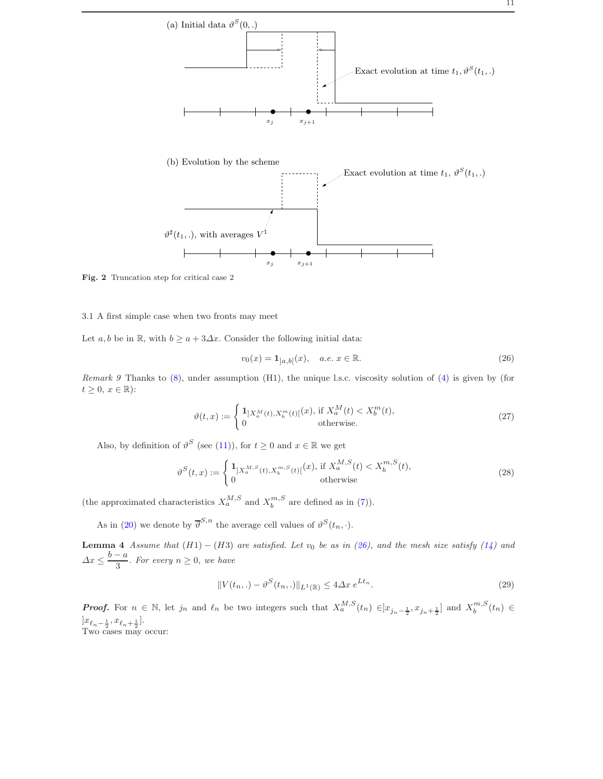

<span id="page-10-0"></span>Fig. 2 Truncation step for critical case 2

#### 3.1 A first simple case when two fronts may meet

Let  $a, b$  be in R, with  $b \ge a + 3\Delta x$ . Consider the following initial data:

<span id="page-10-1"></span>
$$
v_0(x) = \mathbf{1}_{]a,b[}(x), \quad a.e. \ x \in \mathbb{R}.
$$
 (26)

Remark 9 Thanks to  $(8)$ , under assumption  $(H1)$ , the unique l.s.c. viscosity solution of  $(4)$  is given by (for  $t \geq 0, x \in \mathbb{R}$ :

$$
\vartheta(t,x) := \begin{cases} \mathbf{1}_{[X_a^M(t),X_b^m(t)]}(x), \text{ if } X_a^M(t) < X_b^m(t), \\ 0 & \text{otherwise.} \end{cases} \tag{27}
$$

Also, by definition of  $\vartheta^S$  (see [\(11\)](#page-4-4)), for  $t \geq 0$  and  $x \in \mathbb{R}$  we get

$$
\vartheta^{S}(t,x) := \begin{cases} \mathbf{1}_{]X_{a}^{M,S}(t), X_{b}^{m,S}(t)[}(x), \text{ if } X_{a}^{M,S}(t) < X_{b}^{m,S}(t), \\ 0 & \text{otherwise} \end{cases} \tag{28}
$$

(the approximated characteristics  $X_a^{M,S}$  and  $X_b^{m,S}$  are defined as in [\(7\)](#page-2-2)).

As in [\(20\)](#page-7-2) we denote by  $\overline{\vartheta}^{S,n}$  the average cell values of  $\vartheta^S(t_n, \cdot)$ .

Lemma 4 Assume that  $(H1) - (H3)$  are satisfied. Let  $v_0$  be as in [\(26\)](#page-10-1), and the mesh size satisfy [\(14\)](#page-5-1) and  $\Delta x \leq \frac{b-a}{2}$  $\frac{a}{3}$ . For every  $n \geq 0$ , we have

<span id="page-10-2"></span>
$$
||V(t_n,.) - \vartheta^S(t_n,.)||_{L^1(\mathbb{R})} \le 4\Delta x \, e^{Lt_n}.
$$
\n(29)

**Proof.** For  $n \in \mathbb{N}$ , let  $j_n$  and  $\ell_n$  be two integers such that  $X_a^{M,S}(t_n) \in ]x_{j_n-\frac{1}{2}}, x_{j_n+\frac{1}{2}}]$  and  $X_b^{m,S}(t_n) \in$  $]x_{\ell_n-\frac{1}{2}}, x_{\ell_n+\frac{1}{2}}].$ Two cases may occur: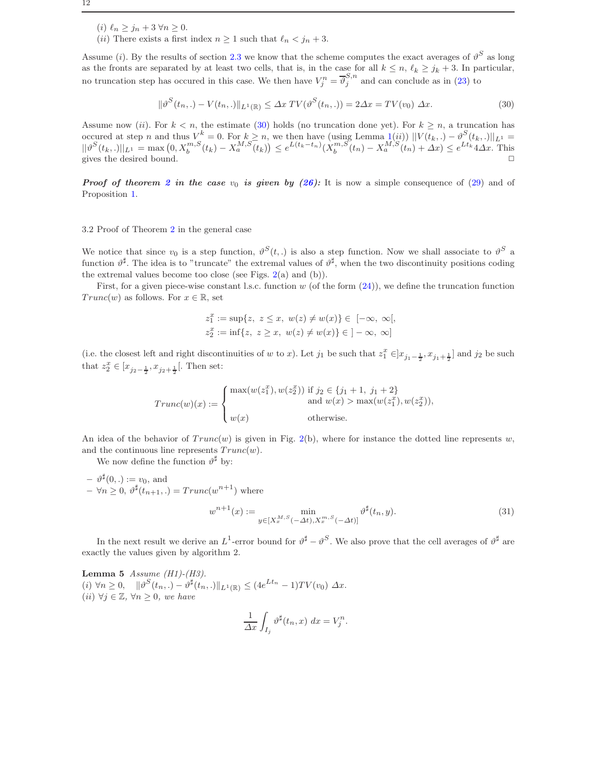- (i)  $\ell_n \geq j_n + 3 \,\forall n \geq 0.$
- (ii) There exists a first index  $n \geq 1$  such that  $\ell_n < j_n + 3$ .

Assume (*i*). By the results of section [2.3](#page-6-5) we know that the scheme computes the exact averages of  $\vartheta^S$  as long as the fronts are separated by at least two cells, that is, in the case for all  $k \leq n$ ,  $\ell_k \geq j_k + 3$ . In particular, no truncation step has occured in this case. We then have  $V_j^n = \overline{\vartheta}_j^{S,n}$  and can conclude as in [\(23\)](#page-8-1) to

<span id="page-11-0"></span>
$$
\|\vartheta^{S}(t_{n},.) - V(t_{n},.)\|_{L^{1}(\mathbb{R})} \leq \Delta x \ TV(\vartheta^{S}(t_{n},.) = 2\Delta x = TV(v_{0}) \ \Delta x. \tag{30}
$$

Assume now (ii). For  $k < n$ , the estimate [\(30\)](#page-11-0) holds (no truncation done yet). For  $k \geq n$ , a truncation has occured at step n and thus  $V^k = 0$ . For  $k \geq n$ , we then have (using Lemma  $\mathbb{1}(ii)$ )  $||V(t_k,.) - \vartheta^S(t_k,.)||_{L^1} =$  $||\vartheta^{S}(t_{k},.)||_{L^{1}} = \max(0, X_{b}^{m,S}(t_{k}) - X_{a}^{M,S}(t_{k})) \leq e^{L(t_{k}-t_{n})}(\tilde{X}_{b}^{m,S}(t_{n}) - X_{a}^{M,S}(t_{n}) + \Delta x) \leq e^{Lt_{k}} 4\Delta x$ . This gives the desired bound.  $\Box$ 

**Proof of theorem [2](#page-9-1) in the case**  $v_0$  is given by [\(26\)](#page-10-1): It is now a simple consequence of [\(29\)](#page-10-2) and of Proposition [1.](#page-4-6)

#### 3.2 Proof of Theorem [2](#page-9-1) in the general case

We notice that since  $v_0$  is a step function,  $\vartheta^S(t,.)$  is also a step function. Now we shall associate to  $\vartheta^S$  a function  $\vartheta^{\sharp}$ . The idea is to "truncate" the extremal values of  $\vartheta^{\sharp}$ , when the two discontinuity positions coding the extremal values become too close (see Figs.  $2(a)$  $2(a)$  and  $(b)$ ).

First, for a given piece-wise constant l.s.c. function  $w$  (of the form  $(24)$ ), we define the truncation function  $Trunc(w)$  as follows. For  $x \in \mathbb{R}$ , set

$$
z_1^x := \sup\{z, \ z \le x, \ w(z) \ne w(x)\} \in [-\infty, \ \infty[,
$$
  

$$
z_2^x := \inf\{z, \ z \ge x, \ w(z) \ne w(x)\} \in ]-\infty, \ \infty]
$$

(i.e. the closest left and right discontinuities of w to x). Let  $j_1$  be such that  $z_1^x \in ]x_{j_1-\frac{1}{2}}, x_{j_1+\frac{1}{2}}]$  and  $j_2$  be such that  $z_2^x \in [x_{j_2-\frac{1}{2}}, x_{j_2+\frac{1}{2}}[$ . Then set:

$$
Trunc(w)(x) := \begin{cases} \max(w(z_1^x), w(z_2^x)) & \text{if } j_2 \in \{j_1 + 1, j_1 + 2\} \\ \text{and } w(x) > \max(w(z_1^x), w(z_2^x)), \\ w(x) & \text{otherwise.} \end{cases}
$$

An idea of the behavior of  $Trunc(w)$  is given in Fig. [2\(](#page-10-0)b), where for instance the dotted line represents w, and the continuous line represents  $Trunc(w)$ .

We now define the function  $\vartheta^{\sharp}$  by:

 $- \vartheta^{\sharp}(0,.) := v_0$ , and  $- \forall n \geq 0, \vartheta^{\sharp}(t_{n+1},.) = Trunc(w^{n+1})$  where

$$
y^{n+1}(x) := \min_{y \in [X_x^{M,S}(-\Delta t), X_x^{m,S}(-\Delta t)]} \vartheta^{\sharp}(t_n, y). \tag{31}
$$

<span id="page-11-2"></span>In the next result we derive an  $L^1$ -error bound for  $\vartheta^{\sharp}-\vartheta^S$ . We also prove that the cell averages of  $\vartheta^{\sharp}$  are exactly the values given by algorithm 2.

Lemma 5 Assume  $(H1)-(H3)$ .  $(i) \forall n \geq 0, \quad \|\vartheta^S(t_n,.) - \vartheta^{\sharp}(t_n,.)\|_{L^1(\mathbb{R})} \leq (4e^{Lt_n} - 1)TV(v_0) \Delta x.$ (ii)  $\forall j \in \mathbb{Z}, \forall n \geq 0, \text{ we have}$ 

<span id="page-11-1"></span> $\boldsymbol{\eta}$ 

$$
\frac{1}{\Delta x} \int_{I_j} \vartheta^{\sharp}(t_n, x) \ dx = V_j^n.
$$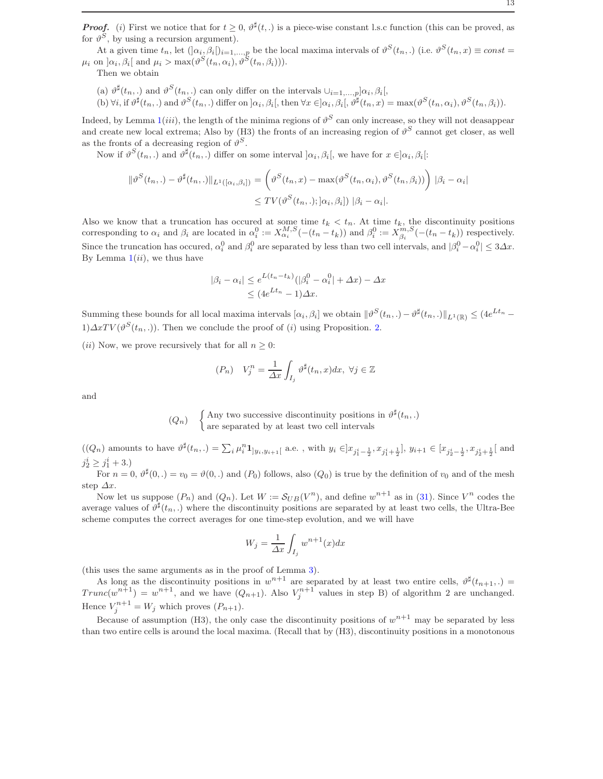**Proof.** (i) First we notice that for  $t \geq 0$ ,  $\vartheta^{\sharp}(t,.)$  is a piece-wise constant l.s.c function (this can be proved, as for  $\vartheta^S$ , by using a recursion argument).

At a given time  $t_n$ , let  $(\alpha_i, \beta_i)_{i=1,\dots,p}$  be the local maxima intervals of  $\vartheta^S(t_n,.)$  (i.e.  $\vartheta^S(t_n, x) \equiv const =$  $\mu_i$  on  $\alpha_i, \beta_i$  and  $\mu_i > \max(\vartheta^S(t_n, \alpha_i), \vartheta^S(t_n, \beta_i))).$ 

Then we obtain

(a)  $\vartheta^{\sharp}(t_n,.)$  and  $\vartheta^{S}(t_n,.)$  can only differ on the intervals  $\cup_{i=1,\dots,p}]\alpha_i,\beta_i[,$ 

(b)  $\forall i$ , if  $\vartheta^{\sharp}(t_n,.)$  and  $\vartheta^{S}(t_n,.)$  differ on  $\alpha_i, \beta_i$ , then  $\forall x \in ]\alpha_i, \beta_i]$ ,  $\vartheta^{\sharp}(t_n, x) = \max(\vartheta^{S}(t_n, \alpha_i), \vartheta^{S}(t_n, \beta_i))$ .

Indeed, by Lemma  $1(iii)$  $1(iii)$ , the length of the minima regions of  $\vartheta^S$  can only increase, so they will not deasappear and create new local extrema; Also by (H3) the fronts of an increasing region of  $\vartheta^S$  cannot get closer, as well as the fronts of a decreasing region of  $\vartheta^S$ .

Now if  $\vartheta^S(t_n,.)$  and  $\vartheta^{\sharp}(t_n,.)$  differ on some interval  $]\alpha_i, \beta_i[$ , we have for  $x \in ]\alpha_i, \beta_i[$ :

$$
\|\vartheta^{S}(t_{n},.) - \vartheta^{\sharp}(t_{n},.)\|_{L^{1}([\alpha_{i},\beta_{i}])} = \left(\vartheta^{S}(t_{n},x) - \max(\vartheta^{S}(t_{n},\alpha_{i}),\vartheta^{S}(t_{n},\beta_{i}))\right) |\beta_{i} - \alpha_{i}
$$

$$
\leq TV(\vartheta^{S}(t_{n},.); |\alpha_{i},\beta_{i}|) |\beta_{i} - \alpha_{i}|.
$$

Also we know that a truncation has occured at some time  $t_k < t_n$ . At time  $t_k$ , the discontinuity positions corresponding to  $\alpha_i$  and  $\beta_i$  are located in  $\alpha_i^0 := X_{\alpha_i}^{M,S}(-(t_n - t_k))$  and  $\beta_i^0 := X_{\beta_i}^{m,S}(-(t_n - t_k))$  respectively. Since the truncation has occured,  $\alpha_i^0$  and  $\beta_i^0$  are separated by less than two cell intervals, and  $|\beta_i^0 - \alpha_i^0| \leq 3\Delta x$ . By Lemma  $1(ii)$  $1(ii)$ , we thus have

$$
|\beta_i - \alpha_i| \le e^{L(t_n - t_k)} (|\beta_i^0 - \alpha_i^0| + \Delta x) - \Delta x
$$
  

$$
\le (4e^{Lt_n} - 1)\Delta x.
$$

Summing these bounds for all local maxima intervals  $[\alpha_i, \beta_i]$  we obtain  $\|\vartheta^S(t_n,.) - \vartheta^{\sharp}(t_n,.)\|_{L^1(\mathbb{R})} \leq (4e^{Lt_n} 1)\Delta xTV(\vartheta^S(t_n,.))$ . Then we conclude the proof of  $(i)$  using Proposition. [2.](#page-5-2)

(*ii*) Now, we prove recursively that for all  $n \geq 0$ :

$$
(P_n) \quad V_j^n = \frac{1}{\Delta x} \int_{I_j} \vartheta^{\sharp}(t_n, x) dx, \ \forall j \in \mathbb{Z}
$$

and

$$
(Q_n)
$$
 {Any two successive discontinuity positions in  $\vartheta^{\sharp}(t_n,.)$   
are separated by at least two cell intervals

 $((Q_n)$  amounts to have  $\vartheta^{\sharp}(t_n,.) = \sum_i \mu_i^n \mathbf{1}_{]y_i,y_{i+1}[}$  a.e., with  $y_i \in ]x_{j_1^{i}-\frac{1}{2}}, x_{j_1^{i}+\frac{1}{2}}], y_{i+1} \in [x_{j_2^{i}-\frac{1}{2}}, x_{j_2^{i}+\frac{1}{2}}[$  and  $j_2^i \geq j_1^i + 3.$ 

For  $n = 0$ ,  $\vartheta^{\sharp}(0,.) = v_0 = \vartheta(0,.)$  and  $(P_0)$  follows, also  $(Q_0)$  is true by the definition of  $v_0$  and of the mesh step  $\Delta x$ .

Now let us suppose  $(P_n)$  and  $(Q_n)$ . Let  $W := \mathcal{S}_{UB}(V^n)$ , and define  $w^{n+1}$  as in [\(31\)](#page-11-1). Since  $V^n$  codes the average values of  $\vartheta^{\sharp}(t_n,.)$  where the discontinuity positions are separated by at least two cells, the Ultra-Bee scheme computes the correct averages for one time-step evolution, and we will have

$$
W_j = \frac{1}{\Delta x} \int_{I_j} w^{n+1}(x) dx
$$

(this uses the same arguments as in the proof of Lemma [3\)](#page-7-1).

As long as the discontinuity positions in  $w^{n+1}$  are separated by at least two entire cells,  $\vartheta^{\sharp}(t_{n+1},.)$  $Trunc(w^{n+1}) = w^{n+1}$ , and we have  $(Q_{n+1})$ . Also  $V_j^{n+1}$  values in step B) of algorithm 2 are unchanged. Hence  $V_j^{n+1} = W_j$  which proves  $(P_{n+1})$ .

Because of assumption (H3), the only case the discontinuity positions of  $w^{n+1}$  may be separated by less than two entire cells is around the local maxima. (Recall that by (H3), discontinuity positions in a monotonous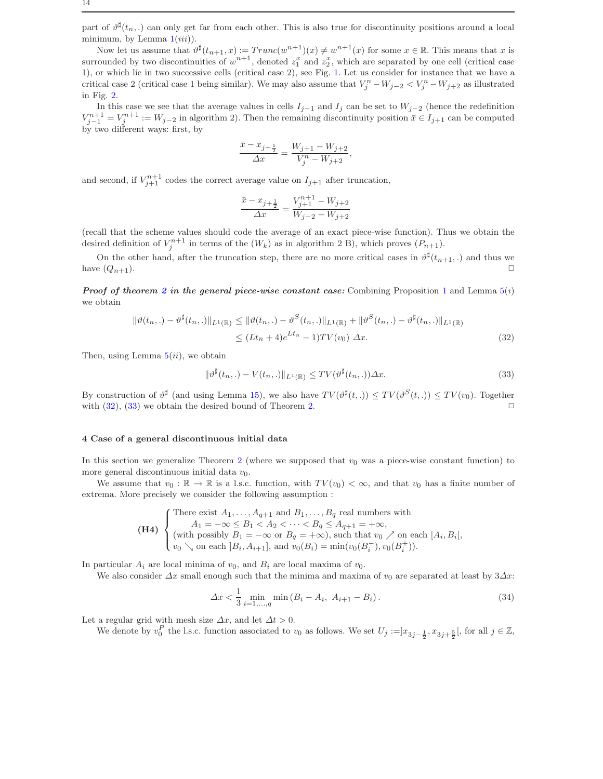part of  $\vartheta^{\sharp}(t_n,.)$  can only get far from each other. This is also true for discontinuity positions around a local minimum, by Lemma  $1(iii)$  $1(iii)$ ).

Now let us assume that  $\vartheta^{\sharp}(t_{n+1},x) := Trunc(w^{n+1})(x) \neq w^{n+1}(x)$  for some  $x \in \mathbb{R}$ . This means that x is surrounded by two discontinuities of  $w^{n+1}$ , denoted  $z_1^x$  and  $z_2^x$ , which are separated by one cell (critical case 1), or which lie in two successive cells (critical case 2), see Fig. [1.](#page-8-2) Let us consider for instance that we have a critical case 2 (critical case 1 being similar). We may also assume that  $V_j^n - W_{j-2} < V_j^n - W_{j+2}$  as illustrated in Fig. [2.](#page-10-0)

In this case we see that the average values in cells  $I_{j-1}$  and  $I_j$  can be set to  $W_{j-2}$  (hence the redefinition  $V_{j-1}^{n+1} = V_j^{n+1} := W_{j-2}$  in algorithm 2). Then the remaining discontinuity position  $\bar{x} \in I_{j+1}$  can be computed by two different ways: first, by

$$
\frac{\bar{x} - x_{j+\frac{1}{2}}}{\Delta x} = \frac{W_{j+1} - W_{j+2}}{V_j^n - W_{j+2}},
$$

and second, if  $V_{j+1}^{n+1}$  codes the correct average value on  $I_{j+1}$  after truncation,

$$
\frac{\bar{x} - x_{j+\frac{1}{2}}}{\Delta x} = \frac{V_{j+1}^{n+1} - W_{j+2}}{W_{j-2} - W_{j+2}}
$$

(recall that the scheme values should code the average of an exact piece-wise function). Thus we obtain the desired definition of  $V_j^{n+1}$  in terms of the  $(W_k)$  as in algorithm 2 B), which proves  $(P_{n+1})$ .

On the other hand, after the truncation step, there are no more critical cases in  $\vartheta^{\sharp}(t_{n+1},.)$  and thus we have  $(Q_{n+1})$ .

**Proof of theorem [2](#page-9-1) in the general piece-wise constant case:** Combining Proposition [1](#page-4-6) and Lemma  $5(i)$  $5(i)$ we obtain

<span id="page-13-1"></span>
$$
\|\vartheta(t_n,.) - \vartheta^{\sharp}(t_n,.)\|_{L^{1}(\mathbb{R})} \le \|\vartheta(t_n,.) - \vartheta^{S}(t_n,.)\|_{L^{1}(\mathbb{R})} + \|\vartheta^{S}(t_n,.) - \vartheta^{\sharp}(t_n,.)\|_{L^{1}(\mathbb{R})}
$$
  
\$\leq (Lt\_n + 4)e^{Lt\_n} - 1)TV(v\_0) \Delta x.\$ (32)

Then, using Lemma  $5(ii)$  $5(ii)$ , we obtain

<span id="page-13-2"></span>
$$
\|\vartheta^{\sharp}(t_n,.) - V(t_n,.)\|_{L^1(\mathbb{R})} \leq TV(\vartheta^{\sharp}(t_n,.))\Delta x.
$$
\n(33)

By construction of  $\vartheta^{\sharp}$  (and using Lemma [15\)](#page-29-0), we also have  $TV(\vartheta^{\sharp}(t,.)) \leq TV(\vartheta^{S}(t,.)) \leq TV(v_0)$ . Together with  $(32)$ ,  $(33)$  we obtain the desired bound of Theorem [2.](#page-9-1)

### <span id="page-13-0"></span>4 Case of a general discontinuous initial data

In this section we generalize Theorem [2](#page-9-1) (where we supposed that  $v_0$  was a piece-wise constant function) to more general discontinuous initial data  $v_0$ .

We assume that  $v_0 : \mathbb{R} \to \mathbb{R}$  is a l.s.c. function, with  $TV(v_0) < \infty$ , and that  $v_0$  has a finite number of extrema. More precisely we consider the following assumption :

(H4) {There exist 
$$
A_1, \ldots, A_{q+1}
$$
 and  $B_1, \ldots, B_q$  real numbers with  
\n
$$
A_1 = -\infty \le B_1 < A_2 < \cdots < B_q \le A_{q+1} = +\infty,
$$
\n(with possibly  $B_1 = -\infty$  or  $B_q = +\infty$ ), such that  $v_0 \nearrow$  on each  $[A_i, B_i]$ ,  
\n $v_0 \searrow$  on each  $[B_i, A_{i+1}]$ , and  $v_0(B_i) = \min(v_0(B_i^-), v_0(B_i^+))$ .

In particular  $A_i$  are local minima of  $v_0$ , and  $B_i$  are local maxima of  $v_0$ .

We also consider  $\Delta x$  small enough such that the minima and maxima of  $v_0$  are separated at least by  $3\Delta x$ :

<span id="page-13-3"></span>
$$
\Delta x < \frac{1}{3} \min_{i=1,\dots,q} \min\left(B_i - A_i, \ A_{i+1} - B_i\right). \tag{34}
$$

Let a regular grid with mesh size  $\Delta x$ , and let  $\Delta t > 0$ .

We denote by  $v_0^P$  the l.s.c. function associated to  $v_0$  as follows. We set  $U_j := ]x_{3j-\frac{1}{2}}, x_{3j+\frac{5}{2}}[$ , for all  $j \in \mathbb{Z}$ ,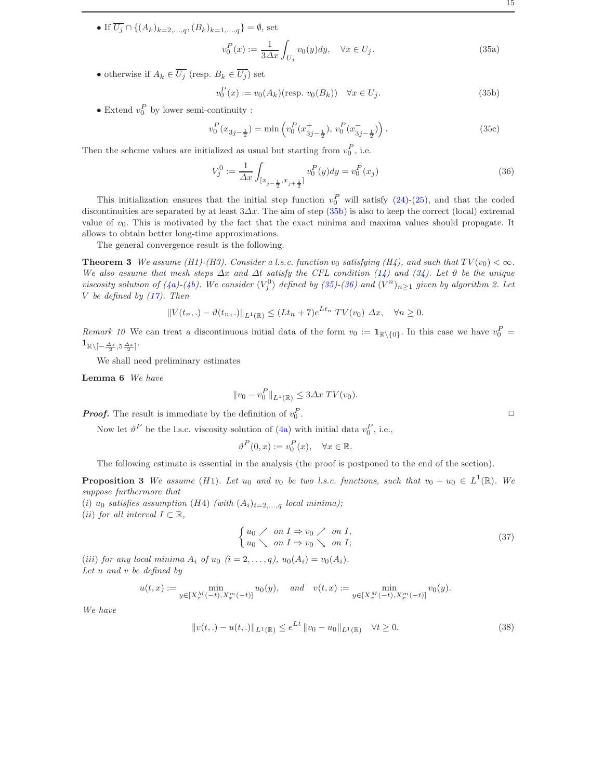<span id="page-14-1"></span>• If  $\overline{U_j} \cap \{(A_k)_{k=2,...,q}, (B_k)_{k=1,...,q}\} = \emptyset$ , set

$$
v_0^P(x) := \frac{1}{3\Delta x} \int_{U_j} v_0(y) dy, \quad \forall x \in U_j.
$$
 (35a)

• otherwise if  $A_k \in \overline{U_j}$  (resp.  $B_k \in \overline{U_j}$ ) set

<span id="page-14-0"></span>
$$
v_0^P(x) := v_0(A_k)(\text{resp. } v_0(B_k)) \quad \forall x \in U_j. \tag{35b}
$$

• Extend  $v_0^P$  by lower semi-continuity :

$$
v_0^P(x_{3j - \frac{1}{2}}) = \min\left(v_0^P(x_{3j - \frac{1}{2}}^+), v_0^P(x_{3j - \frac{1}{2}}^-)\right). \tag{35c}
$$

Then the scheme values are initialized as usual but starting from  $v_0^P$ , i.e.

<span id="page-14-2"></span>
$$
V_j^0 := \frac{1}{\Delta x} \int_{[x_{j-\frac{1}{2}}, x_{j+\frac{1}{2}}]} v_0^P(y) dy = v_0^P(x_j)
$$
\n(36)

This initialization ensures that the initial step function  $v_0^P$  will satisfy [\(24\)](#page-8-3)-[\(25\)](#page-8-4), and that the coded discontinuities are separated by at least  $3\Delta x$ . The aim of step [\(35b\)](#page-14-0) is also to keep the correct (local) extremal value of  $v_0$ . This is motivated by the fact that the exact minima and maxima values should propagate. It allows to obtain better long-time approximations.

<span id="page-14-3"></span>The general convergence result is the following.

**Theorem 3** We assume (H1)-(H3). Consider a l.s.c. function  $v_0$  satisfying (H4), and such that  $TV(v_0) < \infty$ . We also assume that mesh steps  $\Delta x$  and  $\Delta t$  satisfy the CFL condition [\(14\)](#page-5-1) and [\(34\)](#page-13-3). Let  $\vartheta$  be the unique viscosity solution of [\(4a\)](#page-2-3)-[\(4b\)](#page-2-3). We consider  $(V_j^0)$  defined by [\(35\)](#page-14-1)-[\(36\)](#page-14-2) and  $(V^n)_{n\geq 1}$  given by algorithm 2. Let V be defined by  $(17)$ . Then

$$
||V(t_n,.) - \vartheta(t_n,.)||_{L^1(\mathbb{R})} \le (Lt_n + 7)e^{Lt_n} TV(v_0) \Delta x, \quad \forall n \ge 0.
$$

Remark 10 We can treat a discontinuous initial data of the form  $v_0 := \mathbf{1}_{\mathbb{R}\setminus\{0\}}$ . In this case we have  $v_0^P =$  $\mathbf{1}_{\mathbb{R}\setminus[-\frac{\varDelta x}{2},5\frac{\varDelta x}{2}]}$ .

<span id="page-14-5"></span>We shall need preliminary estimates

Lemma 6 We have

$$
||v_0 - v_0^P||_{L^1(\mathbb{R})} \le 3\Delta x \, TV(v_0).
$$

**Proof.** The result is immediate by the definition of  $v_0^P$ 

Now let  $\vartheta^P$  be the l.s.c. viscosity solution of [\(4a\)](#page-2-3) with initial data  $v_0^P$ , i.e.,

$$
\vartheta^P(0, x) := v_0^P(x), \quad \forall x \in \mathbb{R}.
$$

The following estimate is essential in the analysis (the proof is postponed to the end of the section).

<span id="page-14-4"></span>**Proposition 3** We assume (H1). Let  $u_0$  and  $v_0$  be two l.s.c. functions, such that  $v_0 - u_0 \in L^1(\mathbb{R})$ . We suppose furthermore that

(i)  $u_0$  satisfies assumption (H4) (with  $(A_i)_{i=2,\ldots,q}$  local minima);

(*ii*) for all interval  $I \subset \mathbb{R}$ ,

$$
\begin{cases} u_0 \nearrow & \text{on } I \Rightarrow v_0 \nearrow & \text{on } I, \\ u_0 \searrow & \text{on } I \Rightarrow v_0 \searrow & \text{on } I; \end{cases} \tag{37}
$$

(iii) for any local minima  $A_i$  of  $u_0$   $(i = 2, \ldots, q)$ ,  $u_0(A_i) = v_0(A_i)$ . Let u and v be defined by

$$
u(t,x) := \min_{y \in [X_x^M(-t), X_x^m(-t)]} u_0(y), \quad and \quad v(t,x) := \min_{y \in [X_x^M(-t), X_x^m(-t)]} v_0(y).
$$

We have

<span id="page-14-6"></span>
$$
||v(t,.) - u(t,.)||_{L^{1}(\mathbb{R})} \le e^{Lt} ||v_0 - u_0||_{L^{1}(\mathbb{R})} \quad \forall t \ge 0.
$$
\n(38)

. ✷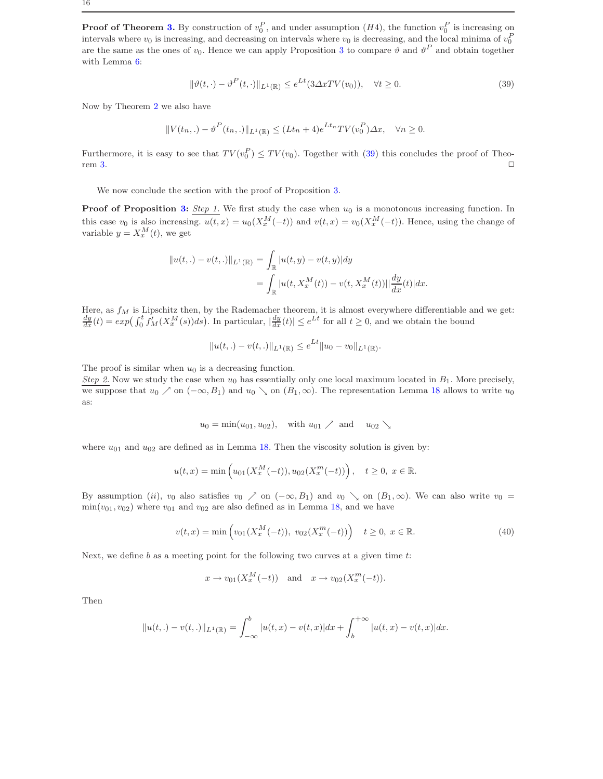**Proof of Theorem [3.](#page-14-3)** By construction of  $v_0^P$ , and under assumption  $(H4)$ , the function  $v_0^P$  is increasing on intervals where  $v_0$  is increasing, and decreasing on intervals where  $v_0$  is decreasing, and the local minima of  $v_0^F$ are the same as the ones of  $v_0$ . Hence we can apply Proposition [3](#page-14-4) to compare  $\vartheta$  and  $\vartheta^P$  and obtain together with Lemma [6:](#page-14-5)

<span id="page-15-0"></span>
$$
\|\vartheta(t,\cdot) - \vartheta^P(t,\cdot)\|_{L^1(\mathbb{R})} \le e^{Lt} (3\Delta x T V(v_0)), \quad \forall t \ge 0.
$$
\n(39)

Now by Theorem [2](#page-9-1) we also have

$$
||V(t_n,.) - \vartheta^P(t_n,.)||_{L^1(\mathbb{R})} \le (Lt_n + 4)e^{Lt_n}TV(v_0^P)\Delta x, \quad \forall n \ge 0.
$$

Furthermore, it is easy to see that  $TV(v_0^P) \leq TV(v_0)$ . Together with [\(39\)](#page-15-0) this concludes the proof of Theo- $\Box$   $\Box$ 

We now conclude the section with the proof of Proposition [3.](#page-14-4)

**Proof of Proposition [3:](#page-14-4)** Step 1. We first study the case when  $u_0$  is a monotonous increasing function. In this case  $v_0$  is also increasing.  $u(t, x) = u_0(X_x^M(-t))$  and  $v(t, x) = v_0(X_x^M(-t))$ . Hence, using the change of variable  $y = X_x^M(t)$ , we get

$$
||u(t,.) - v(t,.)||_{L^1(\mathbb{R})} = \int_{\mathbb{R}} |u(t,y) - v(t,y)| dy
$$
  
= 
$$
\int_{\mathbb{R}} |u(t, X_x^M(t)) - v(t, X_x^M(t))|| \frac{dy}{dx}(t) dx.
$$

Here, as  $f_M$  is Lipschitz then, by the Rademacher theorem, it is almost everywhere differentiable and we get:<br> $\frac{dy}{dx}(t) = exp\left(\int_0^t f'_M(X_x^M(s))ds\right)$ . In particular,  $|\frac{dy}{dx}(t)| \le e^{Lt}$  for all  $t \ge 0$ , and we obtain the bound

$$
||u(t,.) - v(t,.)||_{L^1(\mathbb{R})} \le e^{Lt} ||u_0 - v_0||_{L^1(\mathbb{R})}.
$$

The proof is similar when  $u_0$  is a decreasing function.

Step 2. Now we study the case when  $u_0$  has essentially only one local maximum located in  $B_1$ . More precisely, we suppose that  $u_0 \nearrow$  on  $(-\infty, B_1)$  and  $u_0 \searrow$  on  $(B_1, \infty)$ . The representation Lemma [18](#page-30-12) allows to write  $u_0$ as:

$$
u_0 = \min(u_{01}, u_{02}), \quad \text{with } u_{01} \nearrow \text{ and } u_{02} \searrow
$$

where  $u_{01}$  and  $u_{02}$  are defined as in Lemma [18.](#page-30-12) Then the viscosity solution is given by:

$$
u(t,x) = \min\left(u_{01}(X_x^M(-t)), u_{02}(X_x^m(-t))\right), \quad t \ge 0, \ x \in \mathbb{R}.
$$

By assumption (ii),  $v_0$  also satisfies  $v_0 \nearrow$  on  $(-\infty, B_1)$  and  $v_0 \searrow$  on  $(B_1, \infty)$ . We can also write  $v_0 =$  $min(v_{01}, v_{02})$  where  $v_{01}$  and  $v_{02}$  are also defined as in Lemma [18,](#page-30-12) and we have

$$
v(t,x) = \min\left(v_{01}(X_x^M(-t)),\ v_{02}(X_x^m(-t))\right) \quad t \ge 0, \ x \in \mathbb{R}.\tag{40}
$$

Next, we define  $b$  as a meeting point for the following two curves at a given time  $t$ :

$$
x \to v_{01}(X_x^M(-t)) \quad \text{and} \quad x \to v_{02}(X_x^m(-t)).
$$

Then

$$
||u(t,.) - v(t,.)||_{L^1(\mathbb{R})} = \int_{-\infty}^b |u(t,x) - v(t,x)| dx + \int_b^{+\infty} |u(t,x) - v(t,x)| dx.
$$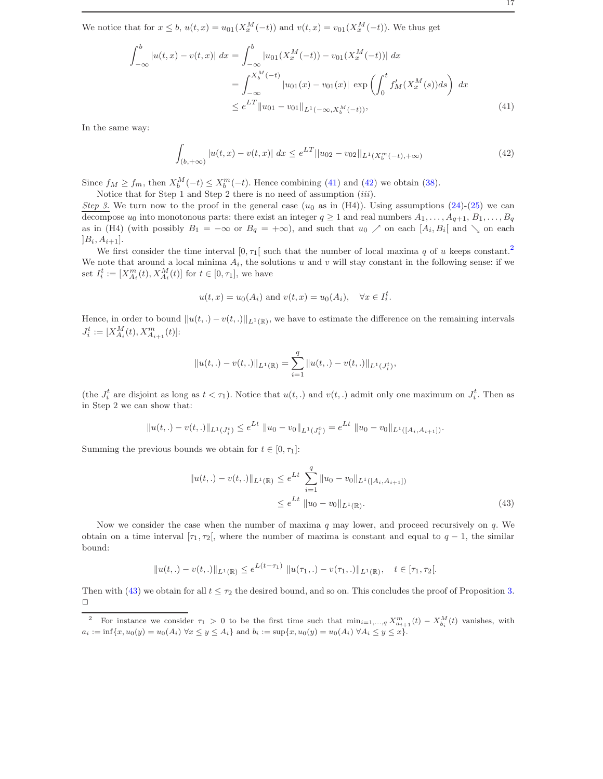We notice that for  $x \leq b$ ,  $u(t,x) = u_{01}(X_x^M(-t))$  and  $v(t,x) = v_{01}(X_x^M(-t))$ . We thus get

<span id="page-16-0"></span>
$$
\int_{-\infty}^{b} |u(t,x) - v(t,x)| dx = \int_{-\infty}^{b} |u_{01}(X_x^M(-t)) - v_{01}(X_x^M(-t))| dx
$$
  
\n
$$
= \int_{-\infty}^{X_b^M(-t)} |u_{01}(x) - v_{01}(x)| \exp\left(\int_0^t f'_M(X_x^M(s))ds\right) dx
$$
  
\n
$$
\leq e^{LT} ||u_{01} - v_{01}||_{L^1(-\infty, X_b^M(-t))},
$$
\n(41)

In the same way:

<span id="page-16-1"></span>
$$
\int_{(b,+\infty)} |u(t,x) - v(t,x)| \, dx \le e^{LT} ||u_{02} - v_{02}||_{L^1(X_b^m(-t),+\infty)} \tag{42}
$$

Since  $f_M \ge f_m$ , then  $X_b^M(-t) \le X_b^m(-t)$ . Hence combining [\(41\)](#page-16-0) and [\(42\)](#page-16-1) we obtain [\(38\)](#page-14-6).

Notice that for Step 1 and Step 2 there is no need of assumption (iii).

Step 3. We turn now to the proof in the general case  $(u_0$  as in (H4)). Using assumptions [\(24\)](#page-8-3)-[\(25\)](#page-8-4) we can decompose  $u_0$  into monotonous parts: there exist an integer  $q \ge 1$  and real numbers  $A_1, \ldots, A_{q+1}, B_1, \ldots, B_q$ as in (H4) (with possibly  $B_1 = -\infty$  or  $B_q = +\infty$ ), and such that  $u_0 \nearrow$  on each  $[A_i, B_i]$  and  $\searrow$  on each  $]B_i, A_{i+1}].$ 

We first consider the time interval  $[0, \tau_1]$  such that the number of local maxima q of u keeps constant.<sup>[2](#page-16-2)</sup> We note that around a local minima  $A_i$ , the solutions u and v will stay constant in the following sense: if we set  $I_i^t := [X_{A_i}^m(t), X_{A_i}^M(t)]$  for  $t \in [0, \tau_1]$ , we have

$$
u(t, x) = u_0(A_i)
$$
 and  $v(t, x) = u_0(A_i)$ ,  $\forall x \in I_i^t$ .

Hence, in order to bound  $||u(t,.) - v(t,.)||_{L^1(\mathbb{R})}$ , we have to estimate the difference on the remaining intervals  $J_i^t := [X_{A_i}^M(t), X_{A_{i+1}}^m(t)]$ :

$$
||u(t,.) - v(t,.)||_{L^1(\mathbb{R})} = \sum_{i=1}^q ||u(t,.) - v(t,.)||_{L^1(J_i^t)},
$$

(the  $J_i^t$  are disjoint as long as  $t < \tau_1$ ). Notice that  $u(t,.)$  and  $v(t,.)$  admit only one maximum on  $J_i^t$ . Then as in Step 2 we can show that:

$$
||u(t,.) - v(t,.)||_{L^1(J_i^t)} \le e^{Lt} ||u_0 - v_0||_{L^1(J_i^0)} = e^{Lt} ||u_0 - v_0||_{L^1([A_i, A_{i+1}])}.
$$

Summing the previous bounds we obtain for  $t \in [0, \tau_1]$ :

<span id="page-16-3"></span>
$$
||u(t,.) - v(t,.)||_{L^{1}(\mathbb{R})} \le e^{Lt} \sum_{i=1}^{q} ||u_0 - v_0||_{L^{1}([A_i, A_{i+1}])}
$$
  

$$
\le e^{Lt} ||u_0 - v_0||_{L^{1}(\mathbb{R})}.
$$
 (43)

Now we consider the case when the number of maxima  $q$  may lower, and proceed recursively on  $q$ . We obtain on a time interval [ $\tau_1, \tau_2$ [, where the number of maxima is constant and equal to  $q - 1$ , the similar bound:

$$
||u(t,.) - v(t,.)||_{L^{1}(\mathbb{R})} \leq e^{L(t-\tau_{1})} ||u(\tau_{1},.) - v(\tau_{1},.)||_{L^{1}(\mathbb{R})}, \quad t \in [\tau_{1}, \tau_{2}].
$$

Then with [\(43\)](#page-16-3) we obtain for all  $t \leq \tau_2$  the desired bound, and so on. This concludes the proof of Proposition [3.](#page-14-4)  $\Box$ 

<span id="page-16-2"></span><sup>&</sup>lt;sup>2</sup> For instance we consider  $\tau_1 > 0$  to be the first time such that  $\min_{i=1,\dots,q} X_{a_{i+1}}^m(t) - X_{b_i}^M(t)$  vanishes, with  $a_i := \inf\{x, u_0(y) = u_0(A_i) \,\forall x \leq y \leq A_i\}$  and  $b_i := \sup\{x, u_0(y) = u_0(A_i) \,\forall A_i \leq y \leq x\}.$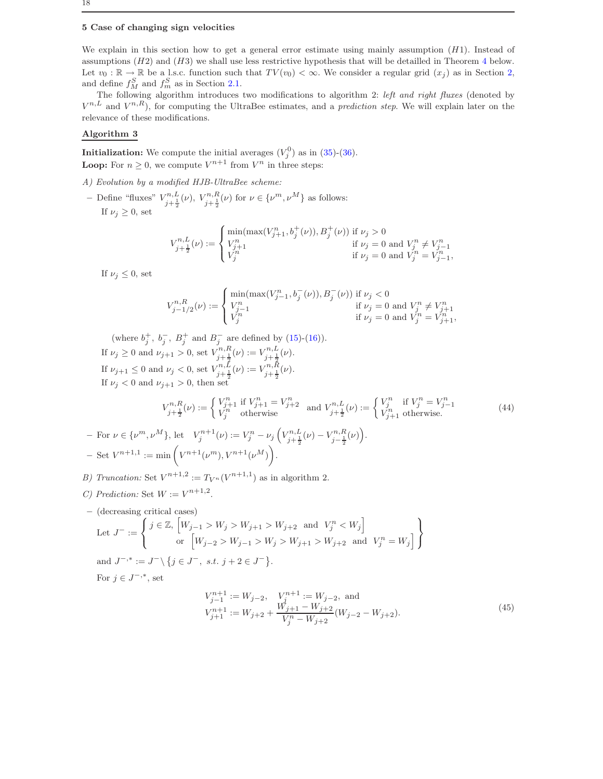# <span id="page-17-0"></span>5 Case of changing sign velocities

We explain in this section how to get a general error estimate using mainly assumption  $(H1)$ . Instead of assumptions  $(H2)$  and  $(H3)$  we shall use less restrictive hypothesis that will be detailled in Theorem [4](#page-18-0) below. Let  $v_0 : \mathbb{R} \to \mathbb{R}$  be a l.s.c. function such that  $TV(v_0) < \infty$ . We consider a regular grid  $(x_i)$  as in Section 2. and define  $f_M^S$  and  $f_m^S$  as in Section [2.1.](#page-1-1)

The following algorithm introduces two modifications to algorithm 2: left and right fluxes (denoted by  $V^{n,L}$  and  $V^{n,R}$ ), for computing the UltraBee estimates, and a *prediction step*. We will explain later on the relevance of these modifications.

# Algorithm 3

**Initialization:** We compute the initial averages  $(V_j^0)$  as in  $(35)-(36)$  $(35)-(36)$ . **Loop:** For  $n \geq 0$ , we compute  $V^{n+1}$  from  $V^n$  in three steps:

A) Evolution by a modified HJB-UltraBee scheme:

- Define "fluxes"  $V_{j+\frac{1}{2}}^{n,L}(\nu)$ ,  $V_{j+\frac{1}{2}}^{n,R}(\nu)$  for  $\nu \in {\{\nu^m, \nu^M\}}$  as follows: If  $\nu_i > 0$ , set

$$
V_{j+\frac{1}{2}}^{n,L}(\nu):=\begin{cases}\min(\max(V_{j+1}^n,b_j^+(\nu)),B_j^+(\nu)) \text{ if } \nu_j>0 \\ V_{j+1}^n & \text{ if } \nu_j=0 \text{ and } V_j^n\neq V_{j-1}^n \\ V_j^n & \text{ if } \nu_j=0 \text{ and } V_j^n=V_{j-1}^n, \end{cases}
$$

If  $\nu_j \leq 0$ , set

$$
V_{j-1/2}^{n,R}(\nu) := \begin{cases} \min(\max(V_{j-1}^n, b_j^-(\nu)), B_j^-(\nu)) \text{ if } \nu_j < 0 \\ V_{j-1}^n & \text{ if } \nu_j = 0 \text{ and } V_j^n \neq V_{j+1}^n \\ V_j^n & \text{ if } \nu_j = 0 \text{ and } V_j^n = V_{j+1}^n, \end{cases}
$$

(where  $b_j^+, b_j^-, B_j^+$  and  $B_j^-$  are defined by [\(15\)](#page-5-3)-[\(16\)](#page-5-4)). If  $\nu_j \geq 0$  and  $\nu_{j+1} > 0$ , set  $V_{j+\frac{1}{2}}^{n,R}(\nu) := V_{j+\frac{1}{2}}^{n,L}(\nu)$ . If  $\nu_{j+1} \leq 0$  and  $\nu_j < 0$ , set  $V_{j+\frac{1}{2}}^{n,L}(\nu) := V_{j+\frac{1}{2}}^{n,R}(\nu)$ . If  $\nu_j < 0$  and  $\nu_{j+1} > 0$ , then set

$$
V_{j+\frac{1}{2}}^{n,R}(\nu) := \begin{cases} V_{j+1}^n & \text{if } V_{j+1}^n = V_{j+2}^n \\ V_j^n & \text{otherwise} \end{cases} \text{ and } V_{j+\frac{1}{2}}^{n,L}(\nu) := \begin{cases} V_j^n & \text{if } V_j^n = V_{j-1}^n \\ V_{j+1}^n & \text{otherwise.} \end{cases} \tag{44}
$$

- For  $\nu \in {\{\nu^m, \nu^M\}}$ , let  $V_j^{n+1}(\nu) := V_j^n - \nu_j \left( V_{j+\frac{1}{2}}^{n,L}(\nu) - V_{j-\frac{1}{2}}^{n,R}(\nu) \right)$ .  $-$  Set  $V^{n+1,1} := \min \left( V^{n+1}(\nu^m), V^{n+1}(\nu^M) \right).$ 

B) Truncation: Set  $V^{n+1,2} := T_{V^n}(V^{n+1,1})$  as in algorithm 2.

- C) Prediction: Set  $W := V^{n+1,2}$ .
- (decreasing critical cases) Let  $J^- :=$  $\sqrt{2}$  $\left\vert \right\vert$  $\mathcal{L}$  $j \in \mathbb{Z}, \left[ W_{j-1} > W_j > W_{j+1} > W_{j+2} \text{ and } V_j^n < W_j \right]$ or  $\left[W_{j-2} > W_{j-1} > W_j > W_{j+1} > W_{j+2} \text{ and } V_j^n = W_j\right]$  $\mathcal{L}$  $\overline{\mathcal{L}}$  $\int$ and  $J^{-,*} := J^{-} \setminus \{ j \in J^{-}, \text{ s.t. } j + 2 \in J^{-} \}.$

For  $j \in J^{-, *}$ , set

$$
V_{j-1}^{n+1} := W_{j-2}, \quad V_j^{n+1} := W_{j-2}, \text{ and}
$$
  
\n
$$
V_{j+1}^{n+1} := W_{j+2} + \frac{W_{j+1} - W_{j+2}}{V_j^n - W_{j+2}} (W_{j-2} - W_{j+2}).
$$
\n(45)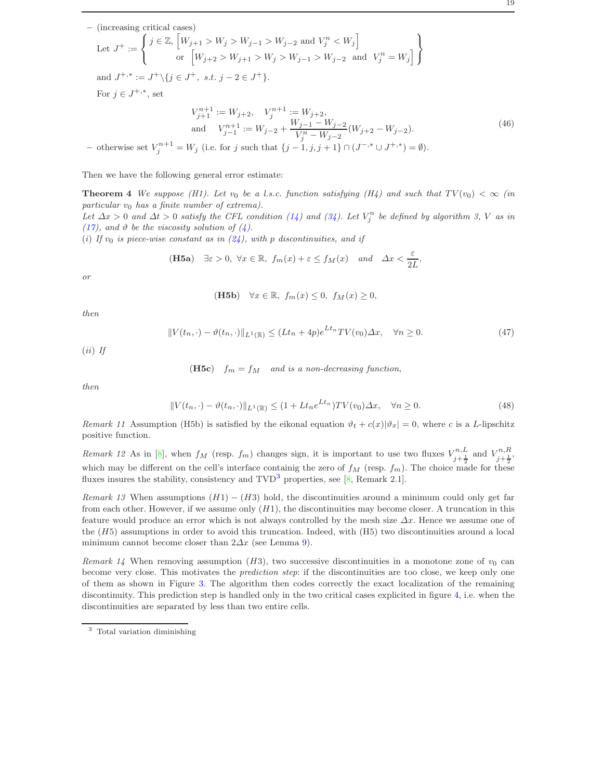(46)

- (increasing critical cases)  
\nLet 
$$
J^+ := \begin{cases} j \in \mathbb{Z}, [W_{j+1} > W_j > W_{j-1} > W_{j-2} \text{ and } V_j^n < W_j] \\ \text{or } [W_{j+2} > W_{j+1} > W_j > W_{j-1} > W_{j-2} \text{ and } V_j^n = W_j] \end{cases}
$$
  
\nand  $J^{+,*} := J^+ \setminus \{j \in J^+, s.t. j - 2 \in J^+ \}.$   
\nFor  $j \in J^{+,*}$ , set  
\n
$$
V_{j+1}^{n+1} := W_{j+2}, \quad V_j^{n+1} := W_{j+2},
$$
\nand 
$$
V_{j-1}^{n+1} := W_{j-2} + \frac{W_{j-1} - W_{j-2}}{V_j^n - W_{j-2}} (W_{j+2} - W_{j-2}).
$$

- otherwise set  $V_j^{n+1} = W_j$  (i.e. for j such that  $\{j-1, j, j+1\} \cap (J^{-, *} \cup J^{+, *} ) = ∅$ ).

<span id="page-18-0"></span>Then we have the following general error estimate:

**Theorem 4** We suppose (H1). Let  $v_0$  be a l.s.c. function satisfying (H4) and such that  $TV(v_0) < \infty$  (in particular  $v_0$  has a finite number of extrema). Let  $\Delta x > 0$  and  $\Delta t > 0$  satisfy the CFL condition [\(14\)](#page-5-1) and [\(34\)](#page-13-3). Let  $V_j^n$  be defined by algorithm 3, V as in

[\(17\)](#page-6-4), and  $\vartheta$  be the viscosity solution of [\(4\)](#page-2-0).

(i) If  $v_0$  is piece-wise constant as in  $(24)$ , with p discontinuities, and if

(H5a) 
$$
\exists \varepsilon > 0, \ \forall x \in \mathbb{R}, \ f_m(x) + \varepsilon \le f_M(x)
$$
 and  $\Delta x < \frac{\varepsilon}{2L}$ ,

or

(H5b) 
$$
\forall x \in \mathbb{R}, \ f_m(x) \leq 0, \ f_M(x) \geq 0,
$$

then

$$
||V(t_n, \cdot) - \vartheta(t_n, \cdot)||_{L^1(\mathbb{R})} \le (Lt_n + 4p)e^{Lt_n}TV(v_0)\Delta x, \quad \forall n \ge 0.
$$
 (47)

 $(ii)$  If

(H5c) 
$$
f_m = f_M
$$
 and is a non-decreasing function,

then

$$
||V(t_n, \cdot) - \vartheta(t_n, \cdot)||_{L^1(\mathbb{R})} \le (1 + Lt_n e^{Lt_n})TV(v_0)\Delta x, \quad \forall n \ge 0.
$$
\n(48)

Remark 11 Assumption (H5b) is satisfied by the eikonal equation  $\vartheta_t + c(x)|\vartheta_x| = 0$ , where c is a L-lipschitz positive function.

Remark 12 As in [\[8\]](#page-30-0), when  $f_M$  (resp.  $f_m$ ) changes sign, it is important to use two fluxes  $V_{j+\frac{1}{2}}^{n,L}$  and  $V_{j+\frac{1}{2}}^{n,R}$ , which may be different on the cell's interface containig the zero of  $f_M$  (resp.  $f_m$ ). The choice made for these fluxes insures the stability, consistency and  $TVD^3$  $TVD^3$  properties, see [\[8,](#page-30-0) Remark 2.1].

Remark 13 When assumptions  $(H1) - (H3)$  hold, the discontinuities around a minimum could only get far from each other. However, if we assume only  $(H1)$ , the discontinuities may become closer. A truncation in this feature would produce an error which is not always controlled by the mesh size  $\Delta x$ . Hence we assume one of the (H5) assumptions in order to avoid this truncation. Indeed, with (H5) two discontinuities around a local minimum cannot become closer than  $2\Delta x$  (see Lemma [9\)](#page-21-0).

Remark 14 When removing assumption (H3), two successive discontinuities in a monotone zone of  $v_0$  can become very close. This motivates the *prediction step*: if the discontinuities are too close, we keep only one of them as shown in Figure [3.](#page-19-0) The algorithm then codes correctly the exact localization of the remaining discontinuity. This prediction step is handled only in the two critical cases explicited in figure [4,](#page-19-1) i.e. when the discontinuities are separated by less than two entire cells.

<span id="page-18-1"></span><sup>3</sup> Total variation diminishing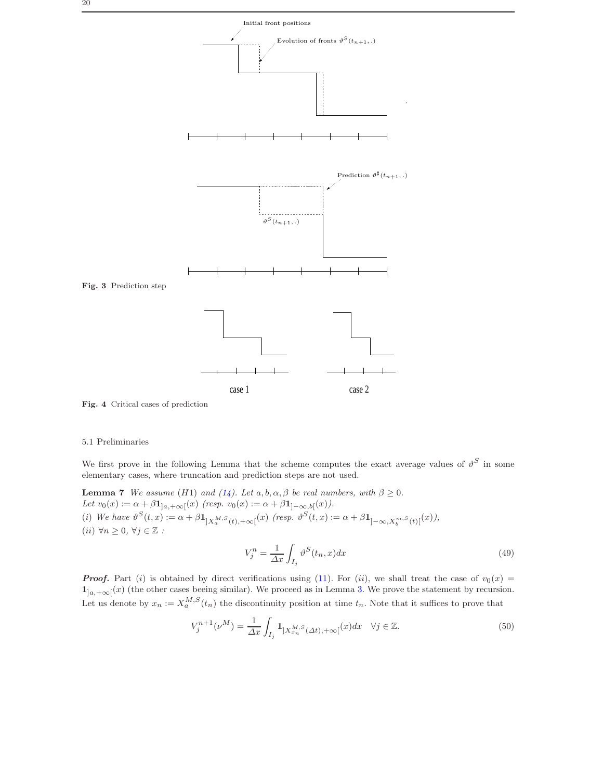

<span id="page-19-1"></span><span id="page-19-0"></span>Fig. 4 Critical cases of prediction

# 5.1 Preliminaries

We first prove in the following Lemma that the scheme computes the exact average values of  $\vartheta^S$  in some elementary cases, where truncation and prediction steps are not used.

**Lemma 7** We assume (H1) and [\(14\)](#page-5-1). Let  $a, b, \alpha, \beta$  be real numbers, with  $\beta \ge 0$ . Let  $v_0(x) := \alpha + \beta \mathbf{1}_{]a, +\infty[}(x)$  (resp.  $v_0(x) := \alpha + \beta \mathbf{1}_{]-\infty, b[}(x)$ ). (i) We have  $\vartheta^{S}(t,x) := \alpha + \beta \mathbf{1}_{]X_{a}^{M,S}(t),+\infty[}(x)$  (resp.  $\vartheta^{S}(t,x) := \alpha + \beta \mathbf{1}_{] - \infty, X_{b}^{m,S}(t)[}(x)),$ (*ii*)  $\forall n \geq 0, \forall j \in \mathbb{Z}$  :

<span id="page-19-3"></span><span id="page-19-2"></span>
$$
V_j^n = \frac{1}{\Delta x} \int_{I_j} \vartheta^S(t_n, x) dx \tag{49}
$$

**Proof.** Part (i) is obtained by direct verifications using [\(11\)](#page-4-4). For (ii), we shall treat the case of  $v_0(x)$  =  $1_{]a,+\infty[}(x)$  (the other cases beeing similar). We proceed as in Lemma [3.](#page-7-1) We prove the statement by recursion. Let us denote by  $x_n := X_a^{M,S}(t_n)$  the discontinuity position at time  $t_n$ . Note that it suffices to prove that

$$
V_j^{n+1}(\nu^M) = \frac{1}{\Delta x} \int_{I_j} \mathbf{1}_{]X_{x_n}^{M,S}(\Delta t), +\infty[}(x)dx \quad \forall j \in \mathbb{Z}.
$$
\n
$$
(50)
$$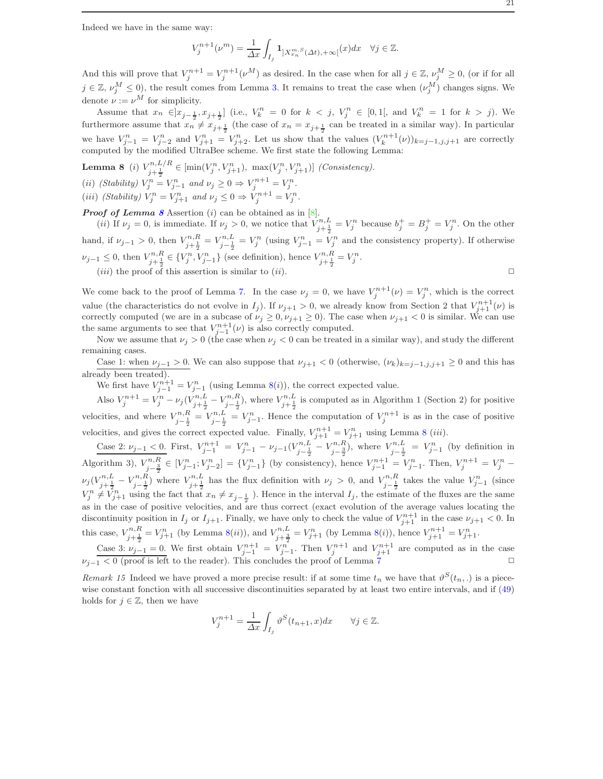Indeed we have in the same way:

$$
V_j^{n+1}(\nu^m)=\frac{1}{\varDelta x}\int_{I_j}\mathbf{1}_{]X_{x_n}^{m,S}(\varDelta t),+\infty[}(x)dx\quad\forall j\in\mathbb{Z}.
$$

And this will prove that  $V_j^{n+1} = V_j^{n+1}(\nu^M)$  as desired. In the case when for all  $j \in \mathbb{Z}$ ,  $\nu_j^M \geq 0$ , (or if for all  $j \in \mathbb{Z}, \nu_j^M \leq 0$ ), the result comes from Lemma [3.](#page-7-1) It remains to treat the case when  $(\nu_j^M)$  changes signs. We denote  $\nu := \nu^M$  for simplicity.

Assume that  $x_n \in ]x_{j-\frac{1}{2}}, x_{j+\frac{1}{2}}]$  (i.e.,  $V_k^n = 0$  for  $k < j$ ,  $V_j^n \in [0,1[$ , and  $V_k^n = 1$  for  $k > j$ ). We furthermore assume that  $x_n \neq x_{j+\frac{1}{2}}$  (the case of  $x_n = x_{j+\frac{1}{2}}$  can be treated in a similar way). In particular we have  $V_{j-1}^n = V_{j-2}^n$  and  $V_{j+1}^n = V_{j+2}^n$ . Let us show that the values  $(V_k^{n+1}(\nu))_{k=j-1,j,j+1}$  are correctly computed by the modified UltraBee scheme. We first state the following Lemma:

**Lemma 8** (i)  $V_{j+\frac{1}{2}}^{n,L/R} \in [\min(V_j^n, V_{j+1}^n), \max(V_j^n, V_{j+1}^n)]$  (Consistency). (ii) (Stability)  $V_j^n = V_{j-1}^n$  and  $\nu_j \geq 0 \Rightarrow V_j^{n+1} = V_j^n$ . (iii) (Stability)  $V_j^n = V_{j+1}^n$  and  $\nu_j \leq 0 \Rightarrow V_j^{n+1} = V_j^n$ .

**Proof of Lemma [8](#page-20-0)** Assertion (i) can be obtained as in  $[8]$ . (*ii*) If  $\nu_j = 0$ , is immediate. If  $\nu_j > 0$ , we notice that  $V_{j+\frac{1}{2}}^{n,L} = V_j^n$  because  $b_j^+ = B_j^+ = V_j^n$ . On the other hand, if  $\nu_{j-1} > 0$ , then  $V_{j+\frac{1}{2}}^{n,R} = V_{j-\frac{1}{2}}^{n,L} = V_j^n$  (using  $V_{j-1}^n = V_j^n$  and the consistency property). If otherwise  $\nu_{j-1} \leq 0$ , then  $V_{j+\frac{1}{2}}^{n,R} \in \{V_j^n, V_{j-1}^n\}$  (see definition), hence  $V_{j+\frac{1}{2}}^{n,R} = V_j^n$ . (*iii*) the proof of this assertion is similar to (*ii*).  $\Box$ 

We come back to the proof of Lemma [7.](#page-19-2) In the case  $\nu_j = 0$ , we have  $V_j^{n+1}(\nu) = V_j^n$ , which is the correct

value (the characteristics do not evolve in  $I_j$ ). If  $\nu_{j+1} > 0$ , we already know from Section 2 that  $V_{j+1}^{n+1}(\nu)$  is correctly computed (we are in a subcase of  $\nu_j \geq 0, \nu_{j+1} \geq 0$ ). The case when  $\nu_{j+1} < 0$  is similar. We can use the same arguments to see that  $V_{j-1}^{n+1}(\nu)$  is also correctly computed.

Now we assume that  $\nu_j > 0$  (the case when  $\nu_j < 0$  can be treated in a similar way), and study the different remaining cases.

Case 1: when  $\nu_{j-1} > 0$ . We can also suppose that  $\nu_{j+1} < 0$  (otherwise,  $(\nu_k)_{k=j-1,j,j+1} \geq 0$  and this has already been treated)

We first have  $V_{j-1}^{n+1} = V_{j-1}^n$  (using Lemma [8\(](#page-20-0)*i*)), the correct expected value.

Also  $V_j^{n+1} = V_j^n - \nu_j(V_{j+\frac{1}{2}}^{n,L} - V_{j-\frac{1}{2}}^{n,R})$ , where  $V_{j+\frac{1}{2}}^{n,L}$  is computed as in Algorithm 1 (Section 2) for positive velocities, and where  $V_{j-\frac{1}{2}}^{n,R} = V_{j-\frac{1}{2}}^n = V_{j-1}^n$ . Hence the computation of  $V_j^{n+1}$  is as in the case of positive velocities, and gives the correct expected value. Finally,  $V_{j+1}^{n+1} = V_{j+1}^n$  using Lemma [8](#page-20-0) (*iii*).

Case 2:  $\nu_{j-1} < 0$ . First,  $V_{j-1}^{n+1} = V_{j-1}^n - \nu_{j-1} (V_{j-\frac{1}{2}}^{n,L} - V_{j-\frac{3}{2}}^{n,R})$ , where  $V_{j-\frac{1}{2}}^{n,L} = V_{j-1}^n$  (by definition in Algorithm 3),  $V_{j-\frac{3}{2}}^{n,R} \in [V_{j-1}^n; V_{j-2}^n] = \{V_{j-1}^n\}$  (by consistency), hence  $V_{j-1}^{n+1} = V_{j-1}^n$ . Then,  $V_j^{n+1} = V_j^n$  –  $\nu_j(V_{j+\frac{1}{2}}^{n,L}-V_{j-\frac{1}{2}}^{n,R})$  where  $V_{j+\frac{1}{2}}^{n,L}$  has the flux definition with  $\nu_j>0$ , and  $V_{j-\frac{1}{2}}^{n,R}$  takes the value  $V_{j-1}^n$  (since  $V_j^n \neq V_{j+1}^n$  using the fact that  $x_n \neq x_{j-\frac{1}{2}}$ . Hence in the interval  $I_j$ , the estimate of the fluxes are the same as in the case of positive velocities, and are thus correct (exact evolution of the average values locating the discontinuity position in  $I_j$  or  $I_{j+1}$ . Finally, we have only to check the value of  $V_{j+1}^{n+1}$  in the case  $\nu_{j+1} < 0$ . In this case,  $V_{j+\frac{1}{2}}^{n,R} = V_{j+1}^n$  (by Lemma [8\(](#page-20-0)*ii*)), and  $V_{j+\frac{3}{2}}^{n,L} = V_{j+1}^n$  (by Lemma 8(*i*)), hence  $V_{j+1}^{n+1} = V_{j+1}^n$ .

Case 3:  $\nu_{j-1}=0$ . We first obtain  $V_{j-1}^{n+1}=V_{j-1}^n$ . Then  $V_j^{n+1}$  and  $V_{j+1}^{n+1}$  are computed as in the case  $\nu_{j-1} < 0$  (proof is left to the reader). This concludes the proof of Lemma [7](#page-19-2)

Remark 15 Indeed we have proved a more precise result: if at some time  $t_n$  we have that  $\vartheta^{S}(t_n,.)$  is a piecewise constant fonction with all successive discontinuities separated by at least two entire intervals, and if [\(49\)](#page-19-3) holds for  $j \in \mathbb{Z}$ , then we have

$$
V_j^{n+1} = \frac{1}{\Delta x} \int_{I_j} \vartheta^S(t_{n+1}, x) dx \qquad \forall j \in \mathbb{Z}.
$$

<span id="page-20-0"></span>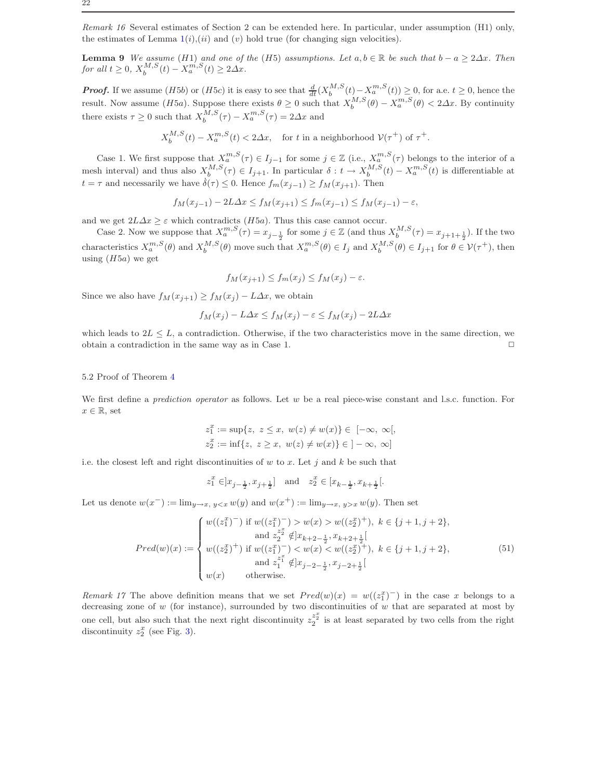Remark 16 Several estimates of Section 2 can be extended here. In particular, under assumption (H1) only, the estimates of Lemma  $1(i)$  $1(i)$ ,  $(ii)$  and  $(v)$  hold true (for changing sign velocities).

<span id="page-21-0"></span>**Lemma 9** We assume (H1) and one of the (H5) assumptions. Let  $a, b \in \mathbb{R}$  be such that  $b - a \geq 2\Delta x$ . Then for all  $t \geq 0$ ,  $X_b^{M,S}(t) - X_a^{m,S}(t) \geq 2\Delta x$ .

**Proof.** If we assume  $(H5b)$  or  $(H5c)$  it is easy to see that  $\frac{d}{dt}(X_b^{M,S}(t) - X_a^{m,S}(t)) \geq 0$ , for a.e.  $t \geq 0$ , hence the result. Now assume (H5a). Suppose there exists  $\theta \ge 0$  such that  $X_b^{M,S}(\theta) - X_a^{m,S}(\theta) < 2\Delta x$ . By continuity there exists  $\tau \geq 0$  such that  $X_b^{M,S}(\tau) - X_a^{m,S}(\tau) = 2\Delta x$  and

$$
X^{M,S}_b(t) - X^{m,S}_a(t) < 2 \varDelta x, \quad \text{for $t$ in a neighborhood } \mathcal{V}(\tau^+) \text{ of $\tau^+$}.
$$

Case 1. We first suppose that  $X_a^{m,S}(\tau) \in I_{j-1}$  for some  $j \in \mathbb{Z}$  (i.e.,  $X_a^{m,S}(\tau)$  belongs to the interior of a mesh interval) and thus also  $X_b^{M,S}(\tau) \in I_{j+1}$ . In particular  $\delta: t \to X_b^{M,S}(t) - X_a^{m,S}(t)$  is differentiable at  $t = \tau$  and necessarily we have  $\dot{\delta}(\tau) \leq 0$ . Hence  $f_m(x_{j-1}) \geq f_M(x_{j+1})$ . Then

$$
f_M(x_{j-1}) - 2L\Delta x \le f_M(x_{j+1}) \le f_m(x_{j-1}) \le f_M(x_{j-1}) - \varepsilon
$$

and we get  $2L\Delta x \geq \varepsilon$  which contradicts (H5a). Thus this case cannot occur.

Case 2. Now we suppose that  $X_a^{m,S}(\tau) = x_{j-\frac{1}{2}}$  for some  $j \in \mathbb{Z}$  (and thus  $X_b^{M,S}(\tau) = x_{j+1+\frac{1}{2}}$ ). If the two characteristics  $X_a^{m,S}(\theta)$  and  $X_b^{M,S}(\theta)$  move such that  $X_a^{m,S}(\theta) \in I_j$  and  $X_b^{M,S}(\theta) \in I_{j+1}$  for  $\theta \in \mathcal{V}(\tau^+)$ , then using  $(H5a)$  we get

$$
f_M(x_{j+1}) \le f_m(x_j) \le f_M(x_j) - \varepsilon.
$$

Since we also have  $f_M(x_{j+1}) \ge f_M(x_j) - L\Delta x$ , we obtain

$$
f_M(x_j) - L\Delta x \le f_M(x_j) - \varepsilon \le f_M(x_j) - 2L\Delta x
$$

which leads to  $2L \leq L$ , a contradiction. Otherwise, if the two characteristics move in the same direction, we obtain a contradiction in the same way as in Case 1.  $\Box$ 

#### 5.2 Proof of Theorem [4](#page-18-0)

We first define a *prediction operator* as follows. Let  $w$  be a real piece-wise constant and l.s.c. function. For  $x \in \mathbb{R}$ , set

$$
z_1^x := \sup\{z, \ z \le x, \ w(z) \ne w(x)\} \in [-\infty, \ \infty[,
$$
  

$$
z_2^x := \inf\{z, \ z \ge x, \ w(z) \ne w(x)\} \in ]-\infty, \ \infty]
$$

i.e. the closest left and right discontinuities of  $w$  to  $x$ . Let  $j$  and  $k$  be such that

$$
z_1^x \in ]x_{j-\frac{1}{2}}, x_{j+\frac{1}{2}}] \quad \text{and} \quad z_2^x \in [x_{k-\frac{1}{2}}, x_{k+\frac{1}{2}}[.
$$

Let us denote  $w(x^-) := \lim_{y \to x, y < x} w(y)$  and  $w(x^+) := \lim_{y \to x, y > x} w(y)$ . Then set

$$
Pred(w)(x) := \begin{cases} w((z_1^x)^-) \text{ if } w((z_1^x)^-) > w(x) > w((z_2^x)^+), \ k \in \{j+1, j+2\}, \\ \text{ and } z_2^{z_2^x} \notin ]x_{k+2-\frac{1}{2}}, x_{k+2+\frac{1}{2}}[ \\ w((z_2^x)^+) \text{ if } w((z_1^x)^-) < w(x) < w((z_2^x)^+), \ k \in \{j+1, j+2\}, \\ \text{ and } z_1^{z_1^x} \notin ]x_{j-2-\frac{1}{2}}, x_{j-2+\frac{1}{2}}[ \\ w(x) \text{ otherwise.} \end{cases} \tag{51}
$$

Remark 17 The above definition means that we set  $Pred(w)(x) = w((z_1^x)^-)$  in the case x belongs to a decreasing zone of  $w$  (for instance), surrounded by two discontinuities of  $w$  that are separated at most by one cell, but also such that the next right discontinuity  $z_2^{\tilde{z}_2^x}$  is at least separated by two cells from the right discontinuity  $z_2^x$  (see Fig. [3\)](#page-19-0).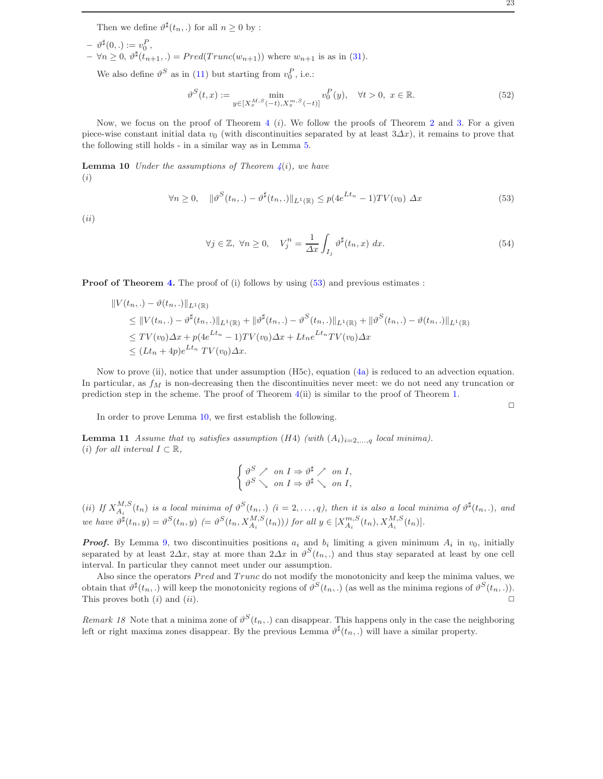- $\vartheta^{\sharp}(0,.) := v_0^P,$
- $-\forall n \geq 0, \vartheta^{\sharp}(t_{n+1},.) = Pred(Trunc(w_{n+1}))$  where  $w_{n+1}$  is as in [\(31\)](#page-11-1).

We also define  $\vartheta^S$  as in [\(11\)](#page-4-4) but starting from  $v_0^P$ , i.e.:

$$
\vartheta^{S}(t,x) := \min_{y \in [X_x^{M,S}(-t), X_x^{m,S}(-t)]} v_0^P(y), \quad \forall t > 0, \ x \in \mathbb{R}.
$$
 (52)

Now, we focus on the proof of Theorem [4](#page-18-0) (i). We follow the proofs of Theorem [2](#page-9-1) and [3.](#page-14-3) For a given piece-wise constant initial data  $v_0$  (with discontinuities separated by at least  $3\Delta x$ ), it remains to prove that the following still holds - in a similar way as in Lemma [5.](#page-11-2)

<span id="page-22-1"></span>**Lemma 10** Under the assumptions of Theorem  $\mathcal{L}(i)$ , we have (i)

<span id="page-22-0"></span>
$$
\forall n \ge 0, \quad \|\vartheta^S(t_n,.) - \vartheta^{\sharp}(t_n,.)\|_{L^1(\mathbb{R})} \le p(4e^{Lt_n} - 1)TV(v_0) \Delta x \tag{53}
$$

(ii)

$$
\forall j \in \mathbb{Z}, \ \forall n \ge 0, \quad V_j^n = \frac{1}{\Delta x} \int_{I_j} \vartheta^{\sharp}(t_n, x) \ dx.
$$
 (54)

**Proof of Theorem [4.](#page-18-0)** The proof of (i) follows by using  $(53)$  and previous estimates :

$$
||V(t_n,.) - \vartheta(t_n,.)||_{L^1(\mathbb{R})}
$$
  
\n
$$
\leq ||V(t_n,.) - \vartheta^{\sharp}(t_n,.)||_{L^1(\mathbb{R})} + ||\vartheta^{\sharp}(t_n,.) - \vartheta^{S}(t_n,.)||_{L^1(\mathbb{R})} + ||\vartheta^{S}(t_n,.) - \vartheta(t_n,.)||_{L^1(\mathbb{R})}
$$
  
\n
$$
\leq TV(v_0)\Delta x + p(4e^{Lt_n} - 1)TV(v_0)\Delta x + Lt_ne^{Lt_n}TV(v_0)\Delta x
$$
  
\n
$$
\leq (Lt_n + 4p)e^{Lt_n}TV(v_0)\Delta x.
$$

Now to prove (ii), notice that under assumption (H5c), equation [\(4a\)](#page-2-3) is reduced to an advection equation. In particular, as  $f_M$  is non-decreasing then the discontinuities never meet: we do not need any truncation or prediction step in the scheme. The proof of Theorem [4\(](#page-18-0)ii) is similar to the proof of Theorem [1.](#page-6-2)

<span id="page-22-2"></span>In order to prove Lemma [10,](#page-22-1) we first establish the following.

**Lemma 11** Assume that v<sub>0</sub> satisfies assumption (H4) (with  $(A_i)_{i=2,\ldots,q}$  local minima). (i) for all interval  $I \subset \mathbb{R}$ ,

$$
\begin{cases} \vartheta^S \nearrow & \text{on } I \Rightarrow \vartheta^{\sharp} \nearrow & \text{on } I, \\ \vartheta^S \searrow & \text{on } I \Rightarrow \vartheta^{\sharp} \searrow & \text{on } I, \end{cases}
$$

(ii) If  $X_{A_i}^{M,S}(t_n)$  is a local minima of  $\vartheta^S(t_n,.)$  (i = 2, ..., q), then it is also a local minima of  $\vartheta^{\sharp}(t_n,.)$ , and we have  $\vartheta^{\sharp}(t_n, y) = \vartheta^{S}(t_n, y) \ (= \vartheta^{S}(t_n, X_{A_i}^{M,S}(t_n)))$  for all  $y \in [X_{A_i}^{m,S}(t_n), X_{A_i}^{M,S}(t_n)]$ .

**Proof.** By Lemma [9,](#page-21-0) two discontinuities positions  $a_i$  and  $b_i$  limiting a given minimum  $A_i$  in  $v_0$ , initially separated by at least  $2\Delta x$ , stay at more than  $2\Delta x$  in  $\vartheta^S(t_n,.)$  and thus stay separated at least by one cell interval. In particular they cannot meet under our assumption.

Also since the operators  $Pred$  and  $Trunc$  do not modify the monotonicity and keep the minima values, we obtain that  $\vartheta^{\sharp}(t_n,.)$  will keep the monotonicity regions of  $\vartheta^{S}(t_n,.)$  (as well as the minima regions of  $\vartheta^{S}(t_n,.)$ ). This proves both  $(i)$  and  $(ii)$ .

Remark 18 Note that a minima zone of  $\vartheta^S(t_n,.)$  can disappear. This happens only in the case the neighboring left or right maxima zones disappear. By the previous Lemma  $\vartheta^{\sharp}(t_n,.)$  will have a similar property.

 $\Box$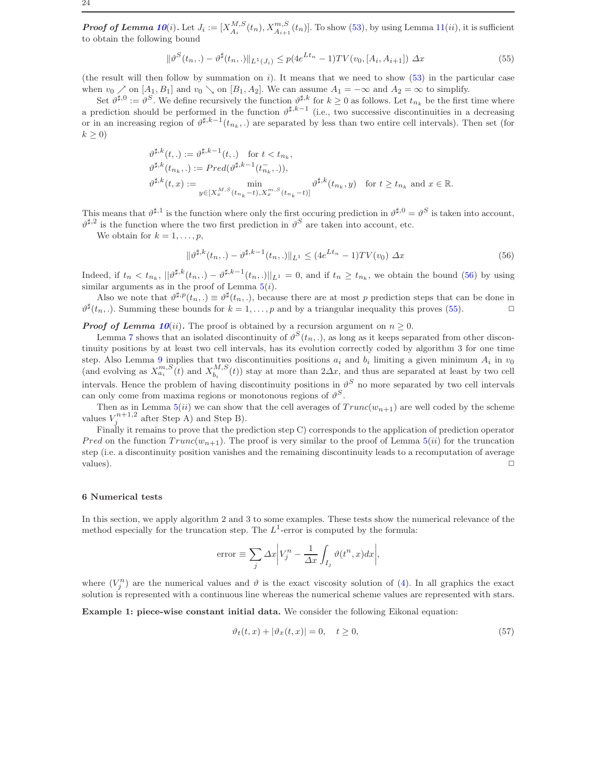**Proof of Lemma [10](#page-22-1)**(i). Let  $J_i := [X_{A_i}^{M,S}(t_n), X_{A_{i+1}}^{m,S}(t_n)]$ . To show [\(53\)](#page-22-0), by using Lemma [11\(](#page-22-2)ii), it is sufficient to obtain the following bound

<span id="page-23-1"></span>
$$
\|\vartheta^{S}(t_{n},.) - \vartheta^{\sharp}(t_{n},.)\|_{L^{1}(J_{i})} \le p(4e^{Lt_{n}} - 1)TV(v_{0}, [A_{i}, A_{i+1}]) \Delta x
$$
\n(55)

(the result will then follow by summation on i). It means that we need to show  $(53)$  in the particular case when  $v_0 \nearrow$  on  $[A_1, B_1]$  and  $v_0 \searrow$  on  $[B_1, A_2]$ . We can assume  $A_1 = -\infty$  and  $A_2 = \infty$  to simplify.

Set  $\vartheta^{\sharp,0} := \vartheta^S$ . We define recursively the function  $\vartheta^{\sharp,k}$  for  $k \geq 0$  as follows. Let  $t_{n_k}$  be the first time where a prediction should be performed in the function  $\vartheta^{\sharp,k-1}$  (i.e., two successive discontinuities in a decreasing or in an increasing region of  $\vartheta^{\sharp,k-1}(t_{n_k},.)$  are separated by less than two entire cell intervals). Then set (for  $k > 0$ 

$$
\vartheta^{\sharp,k}(t,.) := \vartheta^{\sharp,k-1}(t,.) \text{ for } t < t_{n_k},
$$
  
\n
$$
\vartheta^{\sharp,k}(t_{n_k},.) := Pred(\vartheta^{\sharp,k-1}(t_{n_k}^-,.)),
$$
  
\n
$$
\vartheta^{\sharp,k}(t,x) := \min_{y \in [X_x^{M,S}(t_{n_k}-t), X_x^{m,S}(t_{n_k}-t)]} \vartheta^{\sharp,k}(t_{n_k},y) \text{ for } t \ge t_{n_k} \text{ and } x \in \mathbb{R}.
$$

This means that  $\vartheta^{\sharp,1}$  is the function where only the first occuring prediction in  $\vartheta^{\sharp,0} = \vartheta^S$  is taken into account,  $\vartheta^{\sharp,2}$  is the function where the two first prediction in  $\vartheta^{S}$  are taken into account, etc.

We obtain for  $k = 1, \ldots, p$ ,

<span id="page-23-0"></span>
$$
\|\vartheta^{\sharp,k}(t_n,\cdot)-\vartheta^{\sharp,k-1}(t_n,\cdot)\|_{L^1} \le (4e^{Lt_n}-1)TV(v_0) \ \Delta x \tag{56}
$$

Indeed, if  $t_n < t_{n_k}$ ,  $||\vartheta^{\sharp,k}(t_n,.) - \vartheta^{\sharp,k-1}(t_n,.)||_{L^1} = 0$ , and if  $t_n \ge t_{n_k}$ , we obtain the bound [\(56\)](#page-23-0) by using similar arguments as in the proof of Lemma  $5(i)$  $5(i)$ .

Also we note that  $\vartheta^{\sharp,p}(t_n,.) \equiv \vartheta^{\sharp}(t_n,.)$ , because there are at most p prediction steps that can be done in  $\vartheta^{\sharp}(t_n,.)$ . Summing these bounds for  $k=1,\ldots,p$  and by a triangular inequality this proves [\(55\)](#page-23-1).

**Proof of Lemma [10](#page-22-1)**(ii). The proof is obtained by a recursion argument on  $n > 0$ .

Lemma [7](#page-19-2) shows that an isolated discontinuity of  $\vartheta^S(t_n,.)$ , as long as it keeps separated from other discontinuity positions by at least two cell intervals, has its evolution correctly coded by algorithm 3 for one time step. Also Lemma [9](#page-21-0) implies that two discontinuities positions  $a_i$  and  $b_i$  limiting a given minimum  $A_i$  in  $v_0$ (and evolving as  $X_{a_i}^{m,S}(t)$  and  $X_{b_i}^{M,S}(t)$ ) stay at more than  $2\Delta x$ , and thus are separated at least by two cell intervals. Hence the problem of having discontinuity positions in  $\vartheta^S$  no more separated by two cell intervals can only come from maxima regions or monotonous regions of  $\vartheta^S$ .

Then as in Lemma  $5(ii)$  $5(ii)$  we can show that the cell averages of  $Trunc(w_{n+1})$  are well coded by the scheme values  $V_j^{n+1,2}$  after Step A) and Step B).

Finally it remains to prove that the prediction step C) corresponds to the application of prediction operator *Pred* on the function  $Trunc(w_{n+1})$ . The proof is very similar to the proof of Lemma  $5(ii)$  $5(ii)$  for the truncation step (i.e. a discontinuity position vanishes and the remaining discontinuity leads to a recomputation of average values).  $\Box$ 

# 6 Numerical tests

In this section, we apply algorithm 2 and 3 to some examples. These tests show the numerical relevance of the method especially for the truncation step. The  $L^1$ -error is computed by the formula:

error 
$$
\equiv \sum_{j} \Delta x \Bigg| V_j^n - \frac{1}{\Delta x} \int_{I_j} \vartheta(t^n, x) dx \Bigg|
$$
,

where  $(V_j^n)$  are the numerical values and  $\vartheta$  is the exact viscosity solution of [\(4\)](#page-2-0). In all graphics the exact solution is represented with a continuous line whereas the numerical scheme values are represented with stars.

Example 1: piece-wise constant initial data. We consider the following Eikonal equation:

<span id="page-23-2"></span>
$$
\vartheta_t(t,x) + |\vartheta_x(t,x)| = 0, \quad t \ge 0,
$$
\n(57)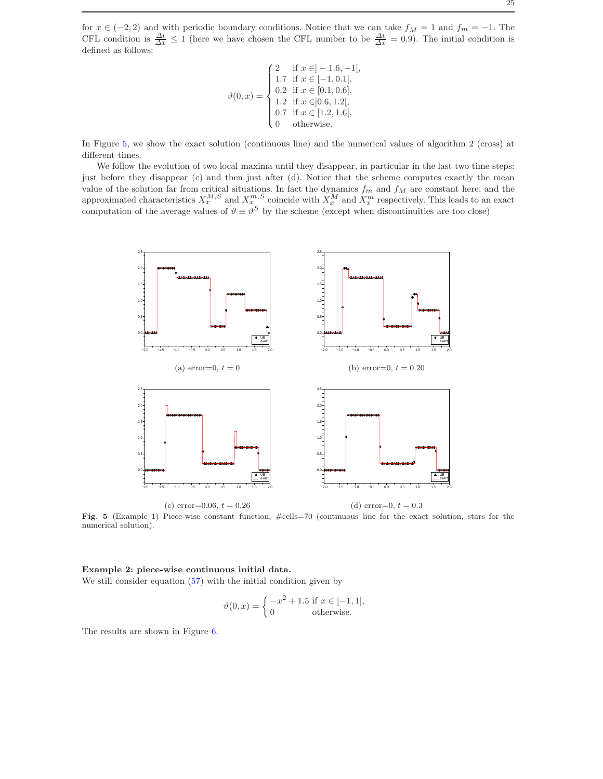for  $x \in (-2, 2)$  and with periodic boundary conditions. Notice that we can take  $f_M = 1$  and  $f_m = -1$ . The CFL condition is  $\frac{\Delta t}{\Delta x} \leq 1$  (here we have chosen the CFL number to be  $\frac{\Delta t}{\Delta x} = 0.9$ ). The initial condition is defined as follows:

$$
\vartheta(0,x) = \begin{cases}\n2 & \text{if } x \in ]-1.6,-1[, \\
1.7 & \text{if } x \in [-1,0.1[, \\
0.2 & \text{if } x \in [0.1,0.6], \\
1.2 & \text{if } x \in ]0.6,1.2[, \\
0.7 & \text{if } x \in [1.2,1.6[, \\
0 & \text{otherwise.} \n\end{cases}
$$

In Figure [5,](#page-24-0) we show the exact solution (continuous line) and the numerical values of algorithm 2 (cross) at different times.

We follow the evolution of two local maxima until they disappear, in particular in the last two time steps: just before they disappear (c) and then just after (d). Notice that the scheme computes exactly the mean value of the solution far from critical situations. In fact the dynamics  $f_m$  and  $f_M$  are constant here, and the approximated characteristics  $X_x^{M,S}$  and  $X_x^{m,S}$  coincide with  $X_x^M$  and  $X_x^m$  respectively. This leads to an exact computation of the average values of  $\vartheta \equiv \vartheta^S$  by the scheme (except when discontinuities are too close)



<span id="page-24-0"></span>Fig. 5 (Example 1) Piece-wise constant function,  $\#cells=70$  (continuous line for the exact solution, stars for the numerical solution).

# Example 2: piece-wise continuous initial data. We still consider equation  $(57)$  with the initial condition given by

$$
\vartheta(0, x) = \begin{cases}\n-x^2 + 1.5 & \text{if } x \in [-1, 1], \\
0 & \text{otherwise.} \n\end{cases}
$$

The results are shown in Figure [6.](#page-25-0)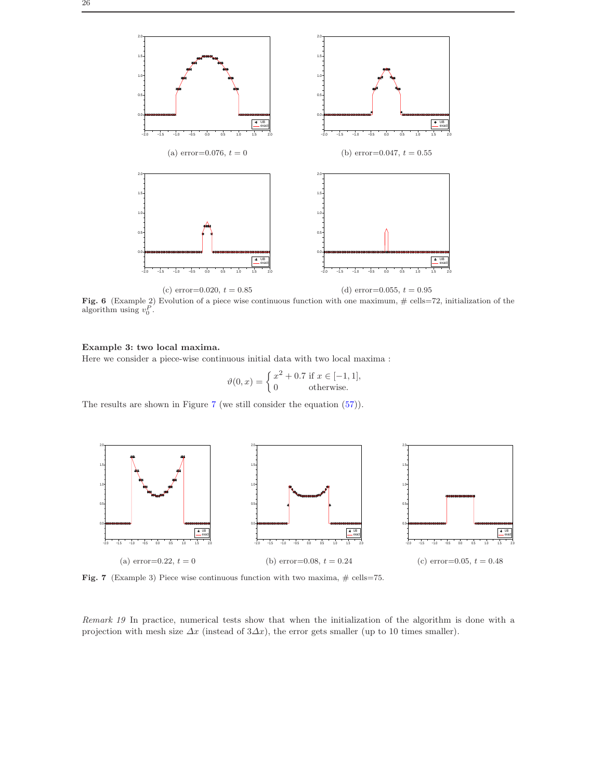

<span id="page-25-0"></span>Fig. 6 (Example 2) Evolution of a piece wise continuous function with one maximum,  $\#$  cells=72, initialization of the algorithm using  $v_0^P$ .

# Example 3: two local maxima.

Here we consider a piece-wise continuous initial data with two local maxima :

$$
\vartheta(0, x) = \begin{cases} x^2 + 0.7 \text{ if } x \in [-1, 1], \\ 0 \text{ otherwise.} \end{cases}
$$

The results are shown in Figure [7](#page-25-1) (we still consider the equation [\(57\)](#page-23-2)).



<span id="page-25-1"></span>Fig. 7 (Example 3) Piece wise continuous function with two maxima,  $\#$  cells=75.

Remark 19 In practice, numerical tests show that when the initialization of the algorithm is done with a projection with mesh size  $\Delta x$  (instead of 3 $\Delta x$ ), the error gets smaller (up to 10 times smaller).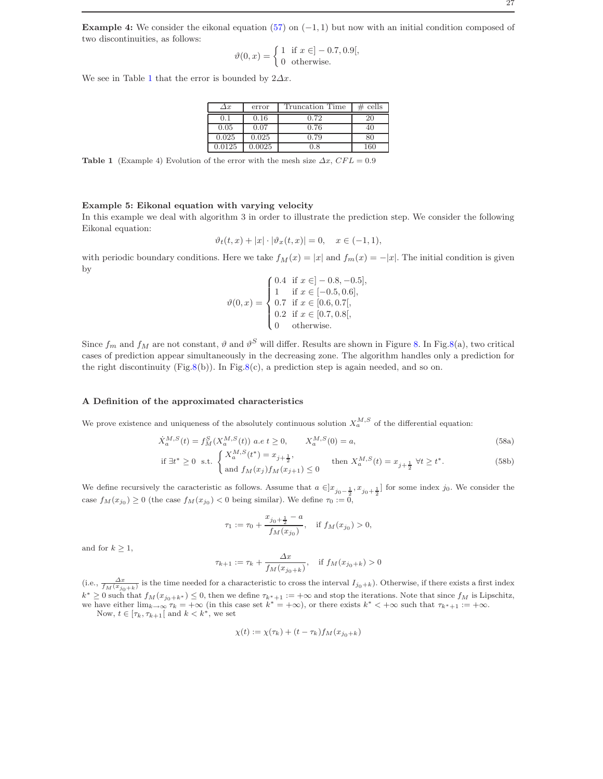Example 4: We consider the eikonal equation [\(57\)](#page-23-2) on  $(-1, 1)$  but now with an initial condition composed of two discontinuities, as follows:

$$
\vartheta(0, x) = \begin{cases} 1 & \text{if } x \in ]-0.7, 0.9[, \\ 0 & \text{otherwise.} \end{cases}
$$

We see in Table [1](#page-26-1) that the error is bounded by  $2\Delta x$ .

| $\Delta x$ | error  | Truncation Time | cells |
|------------|--------|-----------------|-------|
|            | 0.16   | 0.72            | 20    |
| 0.05       | 0.07   | 0.76            |       |
| 0.025      | 0.025  | 0.79            |       |
| 0.0125     | 0.0025 | 7.8             | 160   |

<span id="page-26-1"></span>Table 1 (Example 4) Evolution of the error with the mesh size  $\Delta x$ , CFL = 0.9

# Example 5: Eikonal equation with varying velocity

In this example we deal with algorithm 3 in order to illustrate the prediction step. We consider the following Eikonal equation:

$$
\vartheta_t(t,x) + |x| \cdot |\vartheta_x(t,x)| = 0, \quad x \in (-1,1),
$$

with periodic boundary conditions. Here we take  $f_M(x) = |x|$  and  $f_m(x) = -|x|$ . The initial condition is given by

$$
\vartheta(0,x) = \begin{cases}\n0.4 & \text{if } x \in ]-0.8, -0.5], \\
1 & \text{if } x \in [-0.5, 0.6], \\
0.7 & \text{if } x \in [0.6, 0.7[, \\
0.2 & \text{if } x \in [0.7, 0.8], \\
0 & \text{otherwise.} \n\end{cases}
$$

Since  $f_m$  and  $f_M$  are not constant,  $\vartheta$  and  $\vartheta^S$  will differ. Results are shown in Figure [8.](#page-27-0) In Fig[.8\(](#page-27-0)a), two critical cases of prediction appear simultaneously in the decreasing zone. The algorithm handles only a prediction for the right discontinuity (Fig[.8\(](#page-27-0)b)). In Fig.8(c), a prediction step is again needed, and so on.

#### <span id="page-26-0"></span>A Definition of the approximated characteristics

We prove existence and uniqueness of the absolutely continuous solution  $X_a^{M,S}$  of the differential equation:

<span id="page-26-3"></span>
$$
\dot{X}_a^{M,S}(t) = f_M^S(X_a^{M,S}(t)) \ a.e \ t \ge 0, \qquad X_a^{M,S}(0) = a,
$$
\n
$$
\begin{cases}\nX_a^{M,S}(t^*) = x_{i+1}, & \text{if } i \ge 0, \\
0, & \text{otherwise}\n\end{cases}
$$
\n(58a)

if 
$$
\exists t^* \ge 0
$$
 s.t. 
$$
\begin{cases} X_a^{M,S}(t^*) = x_{j+\frac{1}{2}}, \\ \text{and } f_M(x_j)f_M(x_{j+1}) \le 0 \end{cases}
$$
 then  $X_a^{M,S}(t) = x_{j+\frac{1}{2}} \ \forall t \ge t^*.$  (58b)

We define recursively the caracteristic as follows. Assume that  $a \in ]x_{j_0-\frac{1}{2}}, x_{j_0+\frac{1}{2}}]$  for some index j<sub>0</sub>. We consider the case  $f_M(x_{j_0}) \ge 0$  (the case  $f_M(x_{j_0}) < 0$  being similar). We define  $\tau_0 := 0$ ,

<span id="page-26-2"></span>
$$
\tau_1:=\tau_0+\frac{x_{j_0+\frac{1}{2}}-a}{f_M(x_{j_0})},\quad\text{if }f_M(x_{j_0})>0,
$$

and for  $k \geq 1$ ,

$$
\tau_{k+1} := \tau_k + \frac{\Delta x}{f_M(x_{j_0+k})}, \quad \text{if } f_M(x_{j_0+k}) > 0
$$

(i.e.,  $\frac{\Delta x}{f_M(x_{j_0+k})}$  is the time needed for a characteristic to cross the interval  $I_{j_0+k}$ ). Otherwise, if there exists a first index  $k^* \geq 0$  such that  $f_M(x_{j_0+k^*}) \leq 0$ , then we define  $\tau_{k^*+1} := +\infty$  and stop the iterations. Note that since  $f_M$  is Lipschitz, we have either  $\lim_{k\to\infty} \tau_k = +\infty$  (in this case set  $k^* = +\infty$ ), or there exists  $k^* < +\infty$  such that  $\tau_{k^*+1} := +\infty$ .

Now,  $t\in[\tau_k,\tau_{k+1}[$  and  $k< k^*],$  we set

$$
\chi(t) := \chi(\tau_k) + (t - \tau_k) f_M(x_{j_0 + k})
$$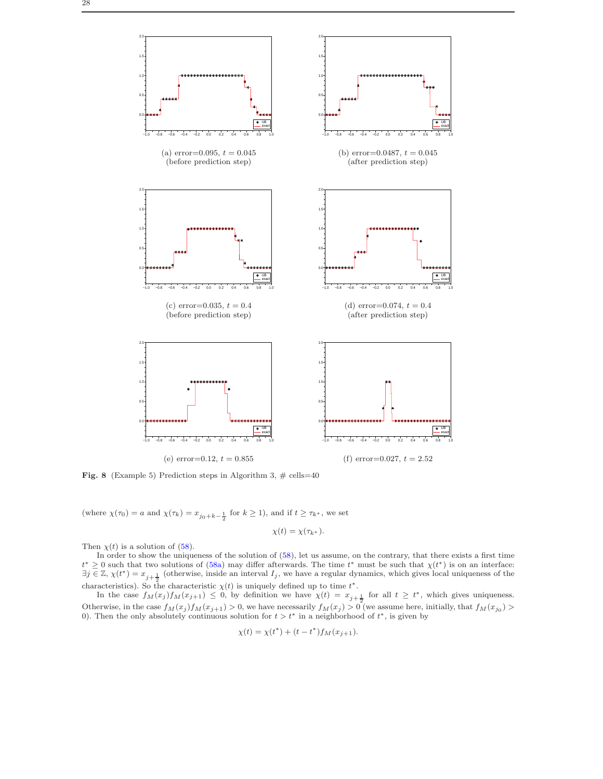

<span id="page-27-0"></span>Fig. 8 (Example 5) Prediction steps in Algorithm 3,  $\#$  cells=40

(where  $\chi(\tau_0) = a$  and  $\chi(\tau_k) = x_{j_0+k-\frac{1}{2}}$  for  $k \ge 1$ ), and if  $t \ge \tau_{k^*}$ , we set

$$
\chi(t)=\chi(\tau_{k^*}).
$$

Then  $\chi(t)$  is a solution of [\(58\)](#page-26-2).

In order to show the uniqueness of the solution of [\(58\)](#page-26-2), let us assume, on the contrary, that there exists a first time  $t^* \geq 0$  such that two solutions of [\(58a\)](#page-26-3) may differ afterwards. The time  $t^*$  must be such that  $\chi(t^*)$  is on an interface:  $\exists j \in \mathbb{Z}, \chi(t^*) = x_{j+\frac{1}{2}}$  (otherwise, inside an interval  $I_j$ , we have a regular dynamics, which gives local uniqueness of the characteristics). So the characteristic  $\chi(t)$  is uniquely defined up to time  $t^*$ .

In the case  $f_M(x_j)f_M(x_{j+1}) \leq 0$ , by definition we have  $\chi(t) = x_{j+\frac{1}{2}}$  for all  $t \geq t^*$ , which gives uniqueness. Otherwise, in the case  $f_M(x_j) f_M(x_{j+1}) > 0$ , we have necessarily  $f_M(x_j) > 0$  (we assume here, initially, that  $f_M(x_{j0}) > 0$ ). Then the only absolutely continuous solution for  $t > t^*$  in a neighborhood of  $t^*$ , is given by

$$
\chi(t) = \chi(t^*) + (t - t^*) f_M(x_{j+1}).
$$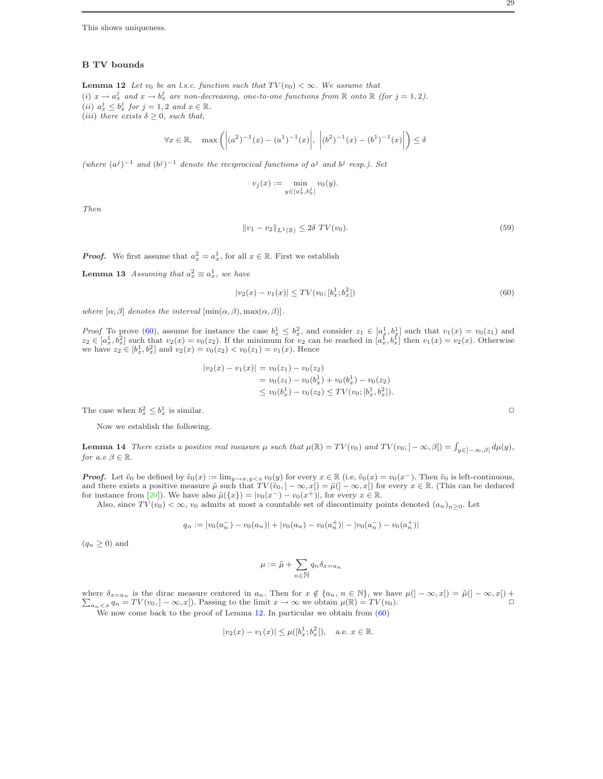This shows uniqueness.

# B TV bounds

<span id="page-28-0"></span>**Lemma 12** Let  $v_0$  be an l.s.c. function such that  $TV(v_0) < \infty$ . We assume that (i)  $x \to a_x^j$  and  $x \to b_x^j$  are non-decreasing, one-to-one functions from  $\mathbb R$  onto  $\mathbb R$  (for  $j = 1, 2$ ). (*ii*)  $a_x^j \leq b_x^j$  for  $j = 1, 2$  and  $x \in \mathbb{R}$ . (*iii*) there exists  $\delta \geq 0$ , such that,

$$
\forall x \in \mathbb{R}, \quad \max\left( \left| (a^2)^{-1}(x) - (a^1)^{-1}(x) \right|, \left| (b^2)^{-1}(x) - (b^1)^{-1}(x) \right| \right) \le \delta
$$

(where  $(a^{j})^{-1}$  and  $(b^{j})^{-1}$  denote the reciprocical functions of  $a^{j}$  and  $b^{j}$  resp.). Set

$$
v_j(x) := \min_{y \in [a_x^j, b_x^j]} v_0(y).
$$

Then

<span id="page-28-3"></span><span id="page-28-2"></span>
$$
||v_1 - v_2||_{L^1(\mathbb{R})} \le 2\delta \, TV(v_0). \tag{59}
$$

**Proof.** We first assume that  $a_x^2 = a_x^1$ , for all  $x \in \mathbb{R}$ . First we establish

**Lemma 13** Assuming that  $a_x^2 \equiv a_x^1$ , we have

<span id="page-28-1"></span>
$$
|v_2(x) - v_1(x)| \le TV(v_0; [b_x^1; b_x^2])\tag{60}
$$

where  $[\alpha; \beta]$  denotes the interval  $[\min(\alpha, \beta), \max(\alpha, \beta)]$ .

*Proof* To prove [\(60\)](#page-28-1), assume for instance the case  $b_x^1 \leq b_x^2$ , and consider  $z_1 \in [a_x^1, b_y^1]$  such that  $v_1(x) = v_0(z_1)$  and  $z_2 \in [a_x^1, b_x^2]$  such that  $v_2(x) = v_0(z_2)$ . If the minimum for  $v_2$  can be reached in  $[a_x^{\overline{1}}, b_x^{\overline{1}}]$  then  $v_1(x) = v_2(x)$ . Otherwise we have  $z_2 \in [b_x^1, b_x^2]$  and  $v_2(x) = v_0(z_2) < v_0(z_1) = v_1(x)$ . Hence

$$
|v_2(x) - v_1(x)| = v_0(z_1) - v_0(z_2)
$$
  
=  $v_0(z_1) - v_0(b_x^1) + v_0(b_x^1) - v_0(z_2)$   
 $\le v_0(b_x^1) - v_0(z_2) \le TV(v_0; [b_x^1, b_x^2]).$ 

The case when  $b_x^2 \leq b_x^1$  is similar.

Now we establish the following.

**Lemma 14** There exists a positive real measure  $\mu$  such that  $\mu(\mathbb{R}) = TV(v_0)$  and  $TV(v_0; -\infty, \beta] = \int_{y \in [-\infty, \beta]} d\mu(y)$ , for a.e  $\beta \in \mathbb{R}$ .

**Proof.** Let  $\tilde{v}_0$  be defined by  $\tilde{v}_0(x) := \lim_{y \to x, y \leq x} v_0(y)$  for every  $x \in \mathbb{R}$  (i.e,  $\tilde{v}_0(x) = v_0(x^-)$ ). Then  $\tilde{v}_0$  is left-continuous, and there exists a positive measure  $\tilde{\mu}$  such that  $TV(\tilde{v}_0, ]-\infty, x[)=\tilde{\mu}(]-\infty, x[)$  for every  $x \in \mathbb{R}$ . (This can be deduced for instance from [\[20\]](#page-31-8)). We have also  $\tilde{\mu}(\{x\}) = |v_0(x^-) - v_0(x^+)|$ , for every  $x \in \mathbb{R}$ .

Also, since  $TV(v_0) < \infty$ ,  $v_0$  admits at most a countable set of discontinuity points denoted  $(a_n)_{n>0}$ . Let

$$
q_n := |v_0(a_n^-) - v_0(a_n)| + |v_0(a_n) - v_0(a_n^+)| - |v_0(a_n^-) - v_0(a_n^+)|
$$

 $(q_n \geq 0)$  and

$$
\mu:=\tilde{\mu}+\sum_{n\in\mathbb{N}}q_{n}\delta_{x=a_{n}}
$$

where  $\sum$  $\delta_{x=a_n}$  is the dirac measure centered in  $a_n$ . Then for  $x \notin \{a_n, n \in \mathbb{N}\}$ , we have  $\mu(]-\infty, x[)=\tilde{\mu}(]-\infty, x[)+$  $a_n < x$   $q_n = TV(v_0, -\infty, x)$ . Passing to the limit  $x \to \infty$  we obtain  $\mu(\mathbb{R}) = TV(v_0)$ .

We now come back to the proof of Lemma [12.](#page-28-0) In particular we obtain from  $(60)$ 

$$
|v_2(x) - v_1(x)| \le \mu([b_x^1; b_x^2]),
$$
 a.e.  $x \in \mathbb{R}$ .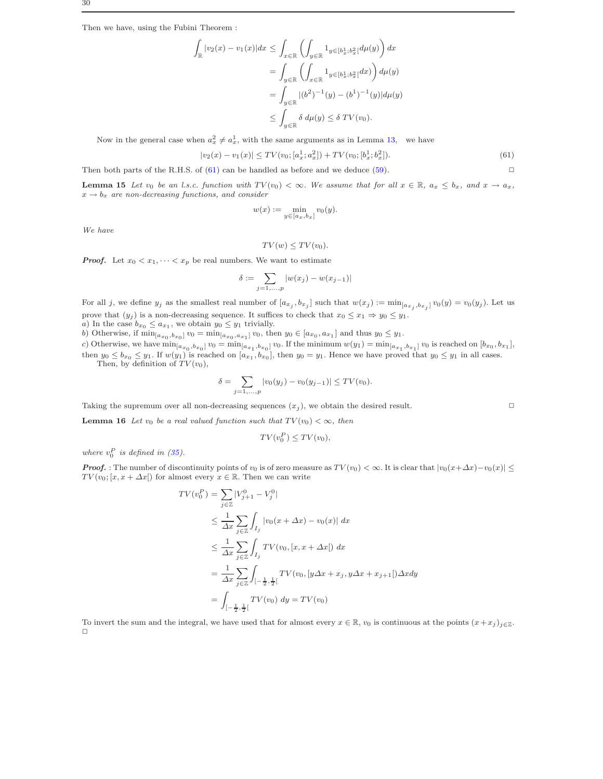Then we have, using the Fubini Theorem :

$$
\int_{\mathbb{R}} |v_2(x) - v_1(x)| dx \le \int_{x \in \mathbb{R}} \left( \int_{y \in \mathbb{R}} 1_{y \in [b_x^1; b_x^2]} d\mu(y) \right) dx
$$
  
\n
$$
= \int_{y \in \mathbb{R}} \left( \int_{x \in \mathbb{R}} 1_{y \in [b_x^1; b_x^2]} dx \right) d\mu(y)
$$
  
\n
$$
= \int_{y \in \mathbb{R}} |(b^2)^{-1}(y) - (b^1)^{-1}(y)| d\mu(y)
$$
  
\n
$$
\le \int_{y \in \mathbb{R}} \delta d\mu(y) \le \delta TV(v_0).
$$

Now in the general case when  $a_x^2 \neq a_x^1$ , with the same arguments as in Lemma [13,](#page-28-2) we have

<span id="page-29-1"></span>
$$
|v_2(x) - v_1(x)| \le TV(v_0; [a_x^1; a_x^2]) + TV(v_0; [b_x^1; b_x^2]).
$$
\n
$$
(61)
$$

<span id="page-29-0"></span>Then both parts of the R.H.S. of  $(61)$  can be handled as before and we deduce  $(59)$ .

**Lemma 15** Let  $v_0$  be an l.s.c. function with  $TV(v_0) < \infty$ . We assume that for all  $x \in \mathbb{R}$ ,  $a_x \leq b_x$ , and  $x \to a_x$ ,  $x \rightarrow b_x$  are non-decreasing functions, and consider

$$
w(x) := \min_{y \in [a_x, b_x]} v_0(y).
$$

We have

$$
TV(w) \leq TV(v_0).
$$

**Proof.** Let  $x_0 < x_1, \dots < x_p$  be real numbers. We want to estimate

$$
\delta := \sum_{j=1,...,p} |w(x_j) - w(x_{j-1})|
$$

For all j, we define  $y_j$  as the smallest real number of  $[a_{x_j}, b_{x_j}]$  such that  $w(x_j) := \min_{[a_{x_j}, b_{x_j}]} v_0(y) = v_0(y_j)$ . Let us prove that  $(y_j)$  is a non-decreasing sequence. It suffices to check that  $x_0 \leq x_1 \Rightarrow y_0 \leq y_1$ .

a) In the case  $b_{x_0} \le a_{x_1}$ , we obtain  $y_0 \le y_1$  trivially.

b) Otherwise, if  $\min_{[a_{x_0},b_{x_0}]} v_0 = \min_{[a_{x_0},a_{x_1}]} v_0$ , then  $y_0 \in [a_{x_0},a_{x_1}]$  and thus  $y_0 \leq y_1$ .

c) Otherwise, we have  $\min_{[a_{x_0},b_{x_0}]} v_0 = \min_{[a_{x_1},b_{x_0}]} v_0$ . If the minimum  $w(y_1) = \min_{[a_{x_1},b_{x_1}]} v_0$  is reached on  $[b_{x_0},b_{x_1}]$ , then  $y_0 \leq b_{x_0} \leq y_1$ . If  $w(y_1)$  is reached on  $[a_{x_1}, b_{x_0}]$ , then  $y_0 = y_1$ . Hence we have proved that  $y_0 \leq y_1$  in all cases. Then, by definition of  $TV(v_0)$ ,

$$
\delta = \sum_{j=1,...,p} |v_0(y_j) - v_0(y_{j-1})| \leq TV(v_0).
$$

Taking the supremum over all non-decreasing sequences  $(x_j)$ , we obtain the desired result.  $\Box$ 

**Lemma 16** Let  $v_0$  be a real valued function such that  $TV(v_0) < \infty$ , then

$$
TV(v_0^P) \leq TV(v_0),
$$

where  $v_0^P$  is defined in [\(35\)](#page-14-1).

**Proof.** : The number of discontinuity points of  $v_0$  is of zero measure as  $TV(v_0) < \infty$ . It is clear that  $|v_0(x+\Delta x)-v_0(x)| \le$  $TV(v_0; [x, x + \Delta x])$  for almost every  $x \in \mathbb{R}$ . Then we can write

$$
TV(v_0^P) = \sum_{j \in \mathbb{Z}} |V_{j+1}^0 - V_j^0|
$$
  
\n
$$
\leq \frac{1}{\Delta x} \sum_{j \in \mathbb{Z}} \int_{I_j} |v_0(x + \Delta x) - v_0(x)| dx
$$
  
\n
$$
\leq \frac{1}{\Delta x} \sum_{j \in \mathbb{Z}} \int_{I_j} TV(v_0, [x, x + \Delta x]) dx
$$
  
\n
$$
= \frac{1}{\Delta x} \sum_{j \in \mathbb{Z}} \int_{[-\frac{1}{2}, \frac{1}{2}]} TV(v_0, [y\Delta x + x_j, y\Delta x + x_{j+1}]) \Delta x dy
$$
  
\n
$$
= \int_{[-\frac{1}{2}, \frac{1}{2}]} TV(v_0) dy = TV(v_0)
$$

To invert the sum and the integral, we have used that for almost every  $x \in \mathbb{R}$ ,  $v_0$  is continuous at the points  $(x + x_j)_{j \in \mathbb{Z}}$ .  $\Box$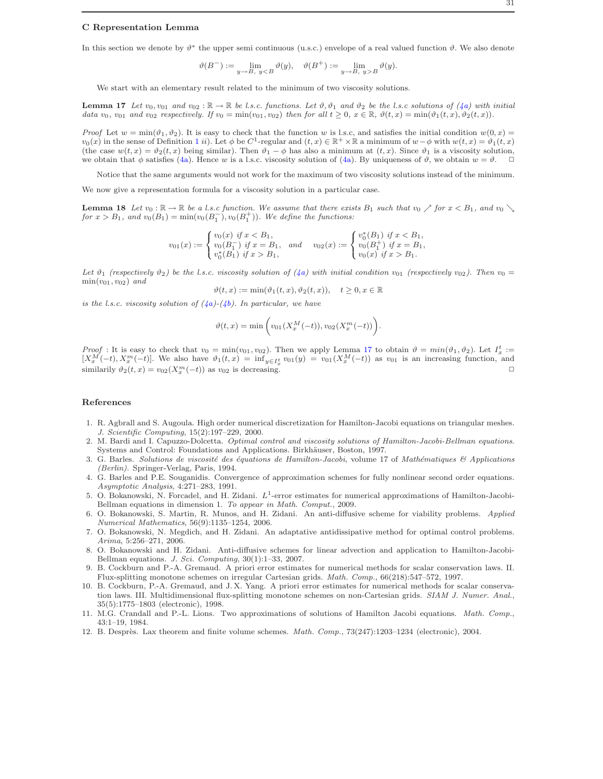#### C Representation Lemma

In this section we denote by  $\vartheta^*$  the upper semi continuous (u.s.c.) envelope of a real valued function  $\vartheta$ . We also denote

$$
\vartheta(B^-):=\lim_{y\to B,\ yB}\vartheta(y).
$$

<span id="page-30-13"></span>We start with an elementary result related to the minimum of two viscosity solutions.

**Lemma 17** Let  $v_0, v_{01}$  and  $v_{02} : \mathbb{R} \to \mathbb{R}$  be l.s.c. functions. Let  $\vartheta, \vartheta_1$  and  $\vartheta_2$  be the l.s.c solutions of [\(4a\)](#page-2-3) with initial data  $v_0$ ,  $v_{01}$  and  $v_{02}$  respectively. If  $v_0 = \min(v_{01}, v_{02})$  then for all  $t \geq 0$ ,  $x \in \mathbb{R}$ ,  $\vartheta(t, x) = \min(\vartheta_1(t, x), \vartheta_2(t, x))$ .

*Proof* Let  $w = \min(\vartheta_1, \vartheta_2)$ . It is easy to check that the function w is l.s.c, and satisfies the initial condition  $w(0, x)$  $v_0(x)$  in the sense of Definition [1](#page-1-4) ii). Let  $\phi$  be C<sup>1</sup>-regular and  $(t, x) \in \mathbb{R}^+ \times \mathbb{R}$  a minimum of  $w - \phi$  with  $w(t, x) = \vartheta_1(t, x)$ (the case  $w(t, x) = \vartheta_2(t, x)$  being similar). Then  $\vartheta_1 - \varphi$  has also a minimum at  $(t, x)$ . Since  $\vartheta_1$  is a viscosity solution, we obtain that  $\phi$  satisfies [\(4a\)](#page-2-3). Hence w is a l.s.c. viscosity solution of (4a). By uniqueness of  $\vartheta$ , we obtain  $w = \vartheta$ .  $\Box$ 

Notice that the same arguments would not work for the maximum of two viscosity solutions instead of the minimum.

<span id="page-30-12"></span>We now give a representation formula for a viscosity solution in a particular case.

**Lemma 18** Let  $v_0 : \mathbb{R} \to \mathbb{R}$  be a l.s.c function. We assume that there exists  $B_1$  such that  $v_0 \nearrow$  for  $x < B_1$ , and  $v_0 \searrow$ for  $x > B_1$ , and  $v_0(B_1) = \min(v_0(B_1^-), v_0(B_1^+))$ . We define the functions:

$$
v_{01}(x) := \begin{cases} v_0(x) & \text{if } x < B_1, \\ v_0(B_1^-) & \text{if } x = B_1, \\ v_0^*(B_1) & \text{if } x > B_1, \end{cases} \quad \text{and} \quad v_{02}(x) := \begin{cases} v_0^*(B_1) & \text{if } x < B_1, \\ v_0(B_1^+) & \text{if } x = B_1, \\ v_0(x) & \text{if } x > B_1. \end{cases}
$$

Let  $\vartheta_1$  (respectively  $\vartheta_2$ ) be the l.s.c. viscosity solution of [\(4a\)](#page-2-3) with initial condition  $v_{01}$  (respectively  $v_{02}$ ). Then  $v_0 =$  $min(v_{01}, v_{02})$  and

 $\vartheta(t, x) := \min(\vartheta_1(t, x), \vartheta_2(t, x)), \quad t \geq 0, x \in \mathbb{R}$ 

is the l.s.c. viscosity solution of  $(4a)-(4b)$  $(4a)-(4b)$ . In particular, we have

$$
\vartheta(t,x) = \min \bigg( v_{01}(X_x^M(-t)), v_{02}(X_x^m(-t)) \bigg).
$$

Proof : It is easy to check that  $v_0 = \min(v_{01}, v_{02})$ . Then we apply Lemma [17](#page-30-13) to obtain  $\vartheta = \min(\vartheta_1, \vartheta_2)$ . Let  $I_x^t :=$  $[X_x^M(-t), X_x^m(-t)]$ . We also have  $\vartheta_1(t,x) = \inf_{y \in I_x^t} \vartheta_0(y) = \vartheta_0( X_x^M(-t))$  as  $\vartheta_0(1)$  is an increasing function, and similarily  $\vartheta_2(t, x) = v_{02}(X_x^m(-t))$  as  $v_{02}$  is decreasing.

#### References

- <span id="page-30-4"></span>1. R. Agbrall and S. Augoula. High order numerical discretization for Hamilton-Jacobi equations on triangular meshes. J. Scientific Computing, 15(2):197–229, 2000.
- <span id="page-30-2"></span>2. M. Bardi and I. Capuzzo-Dolcetta. Optimal control and viscosity solutions of Hamilton-Jacobi-Bellman equations. Systems and Control: Foundations and Applications. Birkhäuser, Boston, 1997.
- <span id="page-30-1"></span>3. G. Barles. Solutions de viscosité des équations de Hamilton-Jacobi, volume 17 of Mathématiques & Applications (Berlin). Springer-Verlag, Paris, 1994.
- <span id="page-30-5"></span>4. G. Barles and P.E. Souganidis. Convergence of approximation schemes for fully nonlinear second order equations. Asymptotic Analysis, 4:271–283, 1991.
- <span id="page-30-10"></span>5. O. Bokanowski, N. Forcadel, and H. Zidani.  $L^1$ -error estimates for numerical approximations of Hamilton-Jacobi-Bellman equations in dimension 1. To appear in Math. Comput., 2009.
- <span id="page-30-9"></span>6. O. Bokanowski, S. Martin, R. Munos, and H. Zidani. An anti-diffusive scheme for viability problems. Applied Numerical Mathematics, 56(9):1135–1254, 2006.
- <span id="page-30-11"></span>7. O. Bokanowski, N. Megdich, and H. Zidani. An adaptative antidissipative method for optimal control problems. Arima, 5:256–271, 2006.
- <span id="page-30-0"></span>8. O. Bokanowski and H. Zidani. Anti-diffusive schemes for linear advection and application to Hamilton-Jacobi-Bellman equations. J. Sci. Computing, 30(1):1–33, 2007.
- <span id="page-30-7"></span>9. B. Cockburn and P.-A. Gremaud. A priori error estimates for numerical methods for scalar conservation laws. II. Flux-splitting monotone schemes on irregular Cartesian grids. Math. Comp., 66(218):547–572, 1997.
- <span id="page-30-8"></span>10. B. Cockburn, P.-A. Gremaud, and J. X. Yang. A priori error estimates for numerical methods for scalar conservation laws. III. Multidimensional flux-splitting monotone schemes on non-Cartesian grids. SIAM J. Numer. Anal., 35(5):1775–1803 (electronic), 1998.
- <span id="page-30-3"></span>11. M.G. Crandall and P.-L. Lions. Two approximations of solutions of Hamilton Jacobi equations. Math. Comp., 43:1–19, 1984.
- <span id="page-30-6"></span>12. B. Desprès. Lax theorem and finite volume schemes. Math. Comp., 73(247):1203-1234 (electronic), 2004.